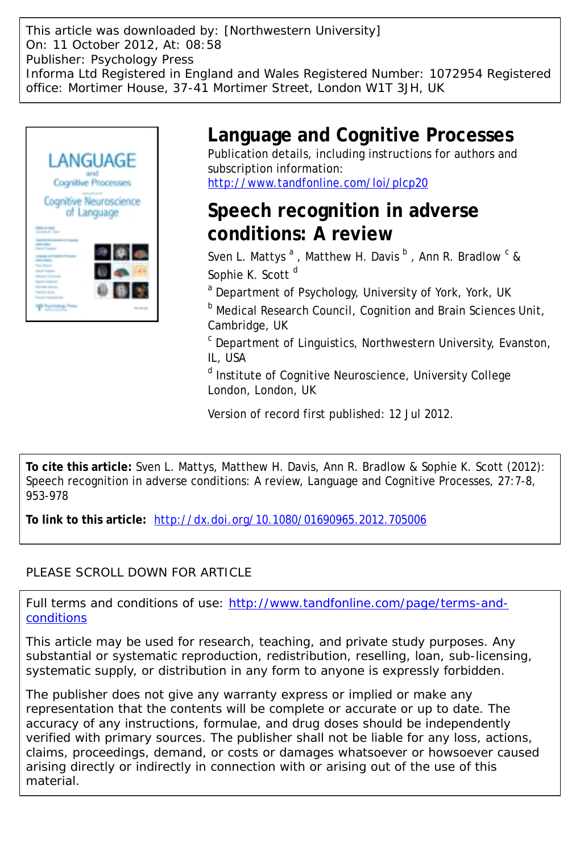This article was downloaded by: [Northwestern University] On: 11 October 2012, At: 08:58 Publisher: Psychology Press Informa Ltd Registered in England and Wales Registered Number: 1072954 Registered office: Mortimer House, 37-41 Mortimer Street, London W1T 3JH, UK



# **Language and Cognitive Processes**

Publication details, including instructions for authors and subscription information: <http://www.tandfonline.com/loi/plcp20>

# **Speech recognition in adverse conditions: A review**

Sven L. Mattys  $^{\mathsf{a}}$  , Matthew H. Davis  $^{\mathsf{b}}$  , Ann R. Bradlow  $^{\mathsf{c}}$  & Sophie K. Scott<sup>d</sup>

<sup>a</sup> Department of Psychology, University of York, York, UK

<sup>b</sup> Medical Research Council, Cognition and Brain Sciences Unit, Cambridge, UK

<sup>c</sup> Department of Linguistics, Northwestern University, Evanston, IL, USA

<sup>d</sup> Institute of Cognitive Neuroscience, University College London, London, UK

Version of record first published: 12 Jul 2012.

**To cite this article:** Sven L. Mattys, Matthew H. Davis, Ann R. Bradlow & Sophie K. Scott (2012): Speech recognition in adverse conditions: A review, Language and Cognitive Processes, 27:7-8, 953-978

**To link to this article:** <http://dx.doi.org/10.1080/01690965.2012.705006>

## PLEASE SCROLL DOWN FOR ARTICLE

Full terms and conditions of use: [http://www.tandfonline.com/page/terms-and](http://www.tandfonline.com/page/terms-and-conditions)[conditions](http://www.tandfonline.com/page/terms-and-conditions)

This article may be used for research, teaching, and private study purposes. Any substantial or systematic reproduction, redistribution, reselling, loan, sub-licensing, systematic supply, or distribution in any form to anyone is expressly forbidden.

The publisher does not give any warranty express or implied or make any representation that the contents will be complete or accurate or up to date. The accuracy of any instructions, formulae, and drug doses should be independently verified with primary sources. The publisher shall not be liable for any loss, actions, claims, proceedings, demand, or costs or damages whatsoever or howsoever caused arising directly or indirectly in connection with or arising out of the use of this material.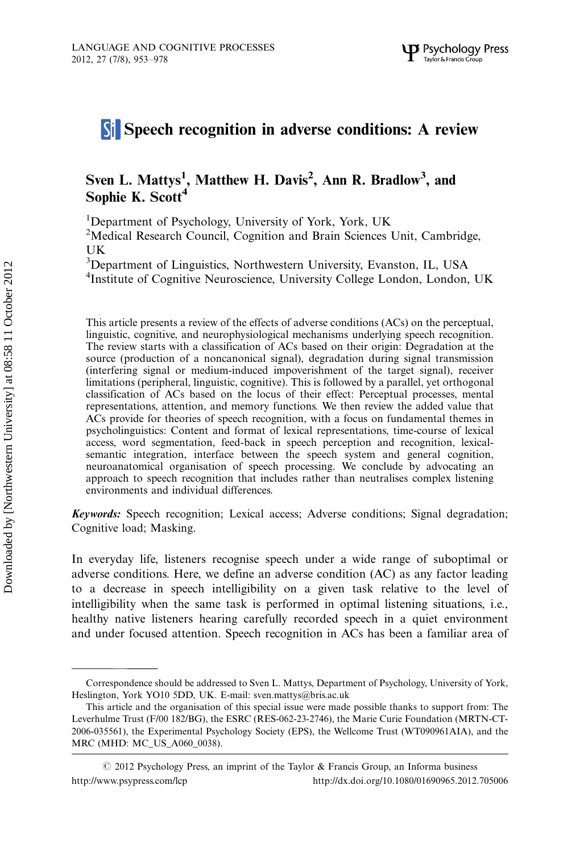## Si Speech recognition in adverse conditions: A review

## Sven L. Mattys<sup>1</sup>, Matthew H. Davis<sup>2</sup>, Ann R. Bradlow<sup>3</sup>, and Sophie K. Scott<sup>4</sup>

<sup>1</sup>Department of Psychology, University of York, York, UK

<sup>2</sup>Medical Research Council, Cognition and Brain Sciences Unit, Cambridge, UK

<sup>3</sup>Department of Linguistics, Northwestern University, Evanston, IL, USA 4 Institute of Cognitive Neuroscience, University College London, London, UK

This article presents a review of the effects of adverse conditions (ACs) on the perceptual, linguistic, cognitive, and neurophysiological mechanisms underlying speech recognition. The review starts with a classification of ACs based on their origin: Degradation at the source (production of a noncanonical signal), degradation during signal transmission (interfering signal or medium-induced impoverishment of the target signal), receiver limitations (peripheral, linguistic, cognitive). This is followed by a parallel, yet orthogonal classification of ACs based on the locus of their effect: Perceptual processes, mental representations, attention, and memory functions. We then review the added value that ACs provide for theories of speech recognition, with a focus on fundamental themes in psycholinguistics: Content and format of lexical representations, time-course of lexical access, word segmentation, feed-back in speech perception and recognition, lexicalsemantic integration, interface between the speech system and general cognition, neuroanatomical organisation of speech processing. We conclude by advocating an approach to speech recognition that includes rather than neutralises complex listening environments and individual differences.

Keywords: Speech recognition; Lexical access; Adverse conditions; Signal degradation; Cognitive load; Masking.

In everyday life, listeners recognise speech under a wide range of suboptimal or adverse conditions. Here, we define an adverse condition (AC) as any factor leading to a decrease in speech intelligibility on a given task relative to the level of intelligibility when the same task is performed in optimal listening situations, i.e., healthy native listeners hearing carefully recorded speech in a quiet environment and under focused attention. Speech recognition in ACs has been a familiar area of

Correspondence should be addressed to Sven L. Mattys, Department of Psychology, University of York, Heslington, York YO10 5DD, UK. E-mail: sven.mattys@bris.ac.uk

This article and the organisation of this special issue were made possible thanks to support from: The Leverhulme Trust (F/00 182/BG), the ESRC (RES-062-23-2746), the Marie Curie Foundation (MRTN-CT-2006-035561), the Experimental Psychology Society (EPS), the Wellcome Trust (WT090961AIA), and the MRC (MHD: MC\_US\_A060\_0038).

 $\odot$  2012 Psychology Press, an imprint of the Taylor & Francis Group, an Informa business <http://www.psypress.com/lcp><http://dx.doi.org/10.1080/01690965.2012.705006>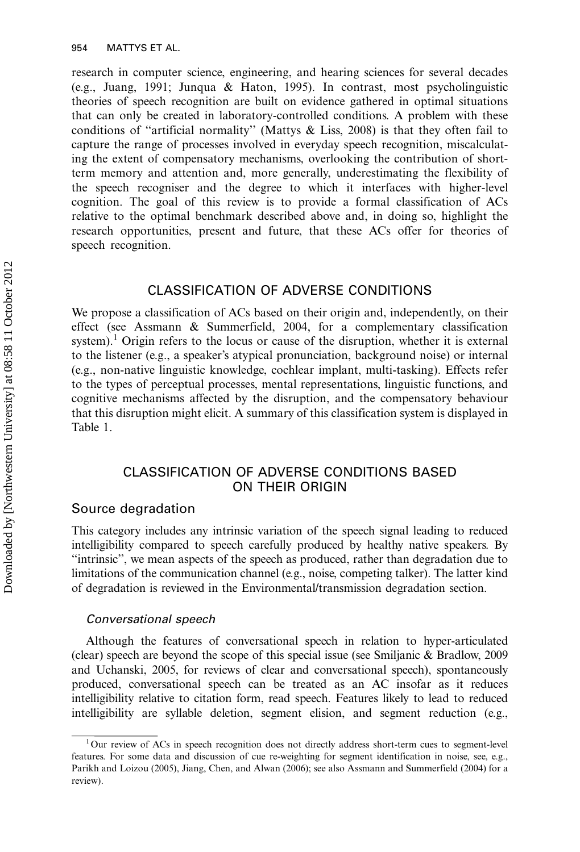research in computer science, engineering, and hearing sciences for several decades (e.g., Juang, 1991; Junqua & Haton, 1995). In contrast, most psycholinguistic theories of speech recognition are built on evidence gathered in optimal situations that can only be created in laboratory-controlled conditions. A problem with these conditions of ''artificial normality'' (Mattys & Liss, 2008) is that they often fail to capture the range of processes involved in everyday speech recognition, miscalculating the extent of compensatory mechanisms, overlooking the contribution of shortterm memory and attention and, more generally, underestimating the flexibility of the speech recogniser and the degree to which it interfaces with higher-level cognition. The goal of this review is to provide a formal classification of ACs relative to the optimal benchmark described above and, in doing so, highlight the research opportunities, present and future, that these ACs offer for theories of speech recognition.

## CLASSIFICATION OF ADVERSE CONDITIONS

We propose a classification of ACs based on their origin and, independently, on their effect (see Assmann & Summerfield, 2004, for a complementary classification system).<sup>1</sup> Origin refers to the locus or cause of the disruption, whether it is external to the listener (e.g., a speaker's atypical pronunciation, background noise) or internal (e.g., non-native linguistic knowledge, cochlear implant, multi-tasking). Effects refer to the types of perceptual processes, mental representations, linguistic functions, and cognitive mechanisms affected by the disruption, and the compensatory behaviour that this disruption might elicit. A summary of this classification system is displayed in Table 1.

## CLASSIFICATION OF ADVERSE CONDITIONS BASED ON THEIR ORIGIN

## Source degradation

This category includes any intrinsic variation of the speech signal leading to reduced intelligibility compared to speech carefully produced by healthy native speakers. By ''intrinsic'', we mean aspects of the speech as produced, rather than degradation due to limitations of the communication channel (e.g., noise, competing talker). The latter kind of degradation is reviewed in the Environmental/transmission degradation section.

#### Conversational speech

Although the features of conversational speech in relation to hyper-articulated (clear) speech are beyond the scope of this special issue (see Smiljanic & Bradlow, 2009 and Uchanski, 2005, for reviews of clear and conversational speech), spontaneously produced, conversational speech can be treated as an AC insofar as it reduces intelligibility relative to citation form, read speech. Features likely to lead to reduced intelligibility are syllable deletion, segment elision, and segment reduction (e.g.,

<sup>&</sup>lt;sup>1</sup>Our review of ACs in speech recognition does not directly address short-term cues to segment-level features. For some data and discussion of cue re-weighting for segment identification in noise, see, e.g., Parikh and Loizou (2005), Jiang, Chen, and Alwan (2006); see also Assmann and Summerfield (2004) for a review).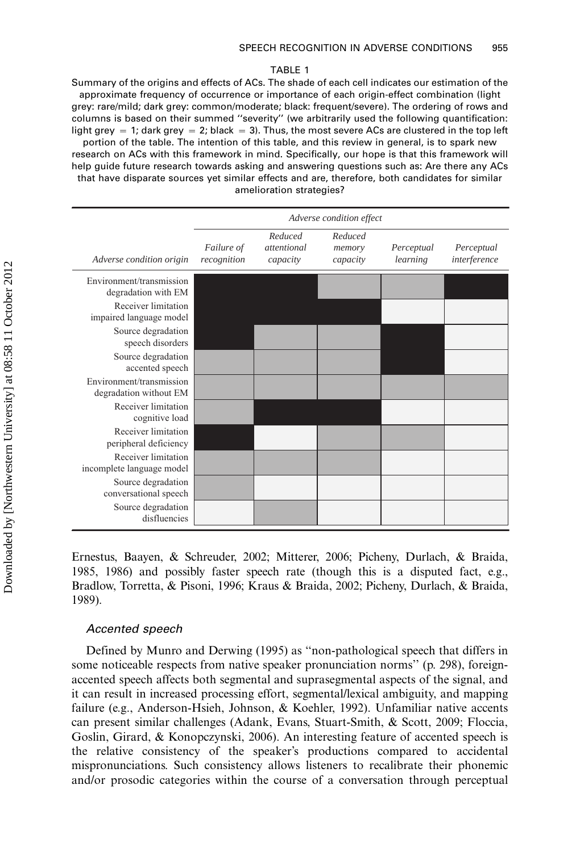#### TABLE 1

Summary of the origins and effects of ACs. The shade of each cell indicates our estimation of the approximate frequency of occurrence or importance of each origin-effect combination (light grey: rare/mild; dark grey: common/moderate; black: frequent/severe). The ordering of rows and columns is based on their summed ''severity'' (we arbitrarily used the following quantification: light grey  $= 1$ ; dark grey  $= 2$ ; black  $= 3$ ). Thus, the most severe ACs are clustered in the top left portion of the table. The intention of this table, and this review in general, is to spark new research on ACs with this framework in mind. Specifically, our hope is that this framework will help guide future research towards asking and answering questions such as: Are there any ACs that have disparate sources yet similar effects and are, therefore, both candidates for similar amelioration strategies?

|                                                    | Adverse condition effect  |                                    |                               |                        |                            |
|----------------------------------------------------|---------------------------|------------------------------------|-------------------------------|------------------------|----------------------------|
| Adverse condition origin                           | Failure of<br>recognition | Reduced<br>attentional<br>capacity | Reduced<br>memory<br>capacity | Perceptual<br>learning | Perceptual<br>interference |
| Environment/transmission<br>degradation with EM    |                           |                                    |                               |                        |                            |
| Receiver limitation<br>impaired language model     |                           |                                    |                               |                        |                            |
| Source degradation<br>speech disorders             |                           |                                    |                               |                        |                            |
| Source degradation<br>accented speech              |                           |                                    |                               |                        |                            |
| Environment/transmission<br>degradation without EM |                           |                                    |                               |                        |                            |
| Receiver limitation<br>cognitive load              |                           |                                    |                               |                        |                            |
| Receiver limitation<br>peripheral deficiency       |                           |                                    |                               |                        |                            |
| Receiver limitation<br>incomplete language model   |                           |                                    |                               |                        |                            |
| Source degradation<br>conversational speech        |                           |                                    |                               |                        |                            |
| Source degradation<br>disfluencies                 |                           |                                    |                               |                        |                            |

Ernestus, Baayen, & Schreuder, 2002; Mitterer, 2006; Picheny, Durlach, & Braida, 1985, 1986) and possibly faster speech rate (though this is a disputed fact, e.g., Bradlow, Torretta, & Pisoni, 1996; Kraus & Braida, 2002; Picheny, Durlach, & Braida, 1989).

#### Accented speech

Defined by Munro and Derwing (1995) as ''non-pathological speech that differs in some noticeable respects from native speaker pronunciation norms'' (p. 298), foreignaccented speech affects both segmental and suprasegmental aspects of the signal, and it can result in increased processing effort, segmental/lexical ambiguity, and mapping failure (e.g., Anderson-Hsieh, Johnson, & Koehler, 1992). Unfamiliar native accents can present similar challenges (Adank, Evans, Stuart-Smith, & Scott, 2009; Floccia, Goslin, Girard, & Konopczynski, 2006). An interesting feature of accented speech is the relative consistency of the speaker's productions compared to accidental mispronunciations. Such consistency allows listeners to recalibrate their phonemic and/or prosodic categories within the course of a conversation through perceptual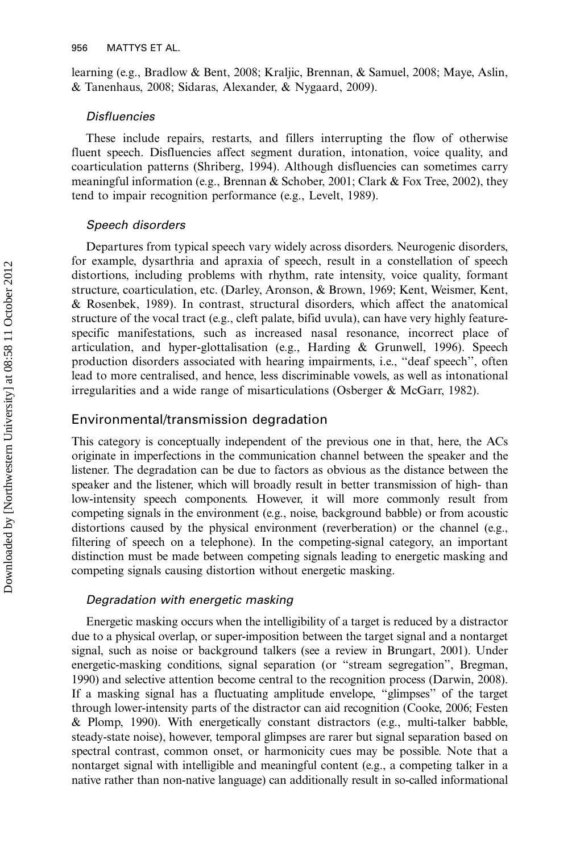learning (e.g., Bradlow & Bent, 2008; Kraljic, Brennan, & Samuel, 2008; Maye, Aslin, & Tanenhaus, 2008; Sidaras, Alexander, & Nygaard, 2009).

#### **Disfluencies**

These include repairs, restarts, and fillers interrupting the flow of otherwise fluent speech. Disfluencies affect segment duration, intonation, voice quality, and coarticulation patterns (Shriberg, 1994). Although disfluencies can sometimes carry meaningful information (e.g., Brennan & Schober, 2001; Clark & Fox Tree, 2002), they tend to impair recognition performance (e.g., Levelt, 1989).

## Speech disorders

Departures from typical speech vary widely across disorders. Neurogenic disorders, for example, dysarthria and apraxia of speech, result in a constellation of speech distortions, including problems with rhythm, rate intensity, voice quality, formant structure, coarticulation, etc. (Darley, Aronson, & Brown, 1969; Kent, Weismer, Kent, & Rosenbek, 1989). In contrast, structural disorders, which affect the anatomical structure of the vocal tract (e.g., cleft palate, bifid uvula), can have very highly featurespecific manifestations, such as increased nasal resonance, incorrect place of articulation, and hyper-glottalisation (e.g., Harding & Grunwell, 1996). Speech production disorders associated with hearing impairments, i.e., ''deaf speech'', often lead to more centralised, and hence, less discriminable vowels, as well as intonational irregularities and a wide range of misarticulations (Osberger & McGarr, 1982).

## Environmental/transmission degradation

This category is conceptually independent of the previous one in that, here, the ACs originate in imperfections in the communication channel between the speaker and the listener. The degradation can be due to factors as obvious as the distance between the speaker and the listener, which will broadly result in better transmission of high- than low-intensity speech components. However, it will more commonly result from competing signals in the environment (e.g., noise, background babble) or from acoustic distortions caused by the physical environment (reverberation) or the channel (e.g., filtering of speech on a telephone). In the competing-signal category, an important distinction must be made between competing signals leading to energetic masking and competing signals causing distortion without energetic masking.

#### Degradation with energetic masking

Energetic masking occurs when the intelligibility of a target is reduced by a distractor due to a physical overlap, or super-imposition between the target signal and a nontarget signal, such as noise or background talkers (see a review in Brungart, 2001). Under energetic-masking conditions, signal separation (or ''stream segregation'', Bregman, 1990) and selective attention become central to the recognition process (Darwin, 2008). If a masking signal has a fluctuating amplitude envelope, ''glimpses'' of the target through lower-intensity parts of the distractor can aid recognition (Cooke, 2006; Festen & Plomp, 1990). With energetically constant distractors (e.g., multi-talker babble, steady-state noise), however, temporal glimpses are rarer but signal separation based on spectral contrast, common onset, or harmonicity cues may be possible. Note that a nontarget signal with intelligible and meaningful content (e.g., a competing talker in a native rather than non-native language) can additionally result in so-called informational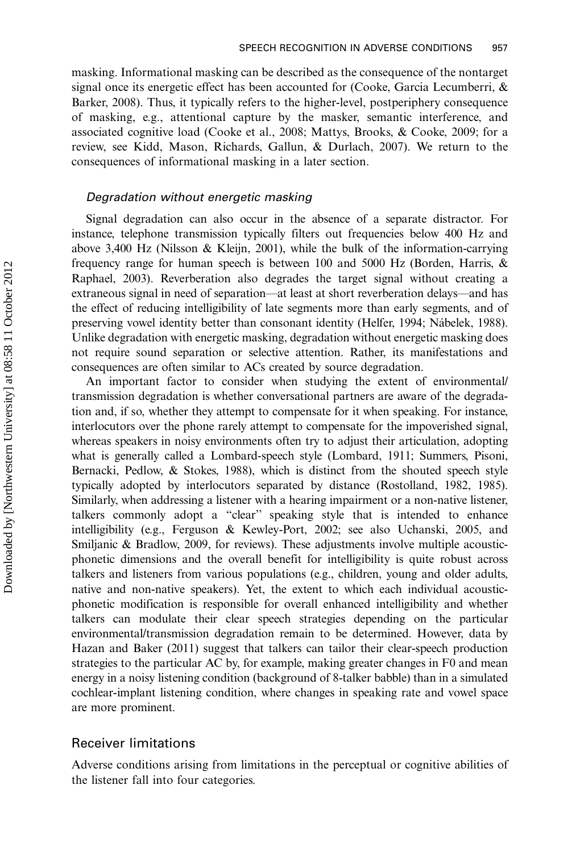masking. Informational masking can be described as the consequence of the nontarget signal once its energetic effect has been accounted for (Cooke, Garcia Lecumberri, & Barker, 2008). Thus, it typically refers to the higher-level, postperiphery consequence of masking, e.g., attentional capture by the masker, semantic interference, and associated cognitive load (Cooke et al., 2008; Mattys, Brooks, & Cooke, 2009; for a review, see Kidd, Mason, Richards, Gallun, & Durlach, 2007). We return to the consequences of informational masking in a later section.

#### Degradation without energetic masking

Signal degradation can also occur in the absence of a separate distractor. For instance, telephone transmission typically filters out frequencies below 400 Hz and above 3,400 Hz (Nilsson & Kleijn, 2001), while the bulk of the information-carrying frequency range for human speech is between 100 and 5000 Hz (Borden, Harris, & Raphael, 2003). Reverberation also degrades the target signal without creating a extraneous signal in need of separation—at least at short reverberation delays—and has the effect of reducing intelligibility of late segments more than early segments, and of preserving vowel identity better than consonant identity (Helfer, 1994; Na´belek, 1988). Unlike degradation with energetic masking, degradation without energetic masking does not require sound separation or selective attention. Rather, its manifestations and consequences are often similar to ACs created by source degradation.

An important factor to consider when studying the extent of environmental/ transmission degradation is whether conversational partners are aware of the degradation and, if so, whether they attempt to compensate for it when speaking. For instance, interlocutors over the phone rarely attempt to compensate for the impoverished signal, whereas speakers in noisy environments often try to adjust their articulation, adopting what is generally called a Lombard-speech style (Lombard, 1911; Summers, Pisoni, Bernacki, Pedlow, & Stokes, 1988), which is distinct from the shouted speech style typically adopted by interlocutors separated by distance (Rostolland, 1982, 1985). Similarly, when addressing a listener with a hearing impairment or a non-native listener, talkers commonly adopt a ''clear'' speaking style that is intended to enhance intelligibility (e.g., Ferguson & Kewley-Port, 2002; see also Uchanski, 2005, and Smiljanic & Bradlow, 2009, for reviews). These adjustments involve multiple acousticphonetic dimensions and the overall benefit for intelligibility is quite robust across talkers and listeners from various populations (e.g., children, young and older adults, native and non-native speakers). Yet, the extent to which each individual acousticphonetic modification is responsible for overall enhanced intelligibility and whether talkers can modulate their clear speech strategies depending on the particular environmental/transmission degradation remain to be determined. However, data by Hazan and Baker (2011) suggest that talkers can tailor their clear-speech production strategies to the particular AC by, for example, making greater changes in F0 and mean energy in a noisy listening condition (background of 8-talker babble) than in a simulated cochlear-implant listening condition, where changes in speaking rate and vowel space are more prominent.

#### Receiver limitations

Adverse conditions arising from limitations in the perceptual or cognitive abilities of the listener fall into four categories.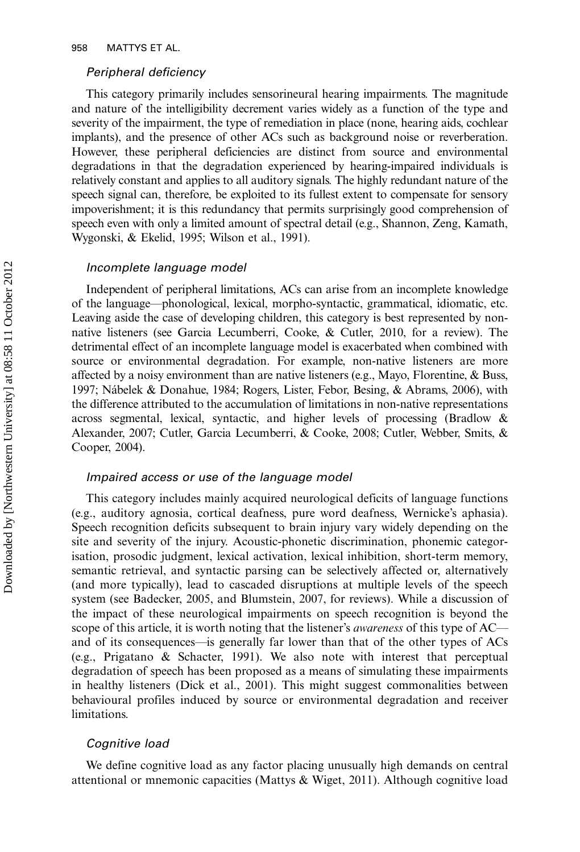#### Peripheral deficiency

This category primarily includes sensorineural hearing impairments. The magnitude and nature of the intelligibility decrement varies widely as a function of the type and severity of the impairment, the type of remediation in place (none, hearing aids, cochlear implants), and the presence of other ACs such as background noise or reverberation. However, these peripheral deficiencies are distinct from source and environmental degradations in that the degradation experienced by hearing-impaired individuals is relatively constant and applies to all auditory signals. The highly redundant nature of the speech signal can, therefore, be exploited to its fullest extent to compensate for sensory impoverishment; it is this redundancy that permits surprisingly good comprehension of speech even with only a limited amount of spectral detail (e.g., Shannon, Zeng, Kamath, Wygonski, & Ekelid, 1995; Wilson et al., 1991).

#### Incomplete language model

Independent of peripheral limitations, ACs can arise from an incomplete knowledge of the language\*phonological, lexical, morpho-syntactic, grammatical, idiomatic, etc. Leaving aside the case of developing children, this category is best represented by nonnative listeners (see Garcia Lecumberri, Cooke, & Cutler, 2010, for a review). The detrimental effect of an incomplete language model is exacerbated when combined with source or environmental degradation. For example, non-native listeners are more affected by a noisy environment than are native listeners (e.g., Mayo, Florentine, & Buss, 1997; Nábelek & Donahue, 1984; Rogers, Lister, Febor, Besing, & Abrams, 2006), with the difference attributed to the accumulation of limitations in non-native representations across segmental, lexical, syntactic, and higher levels of processing (Bradlow & Alexander, 2007; Cutler, Garcia Lecumberri, & Cooke, 2008; Cutler, Webber, Smits, & Cooper, 2004).

#### Impaired access or use of the language model

This category includes mainly acquired neurological deficits of language functions (e.g., auditory agnosia, cortical deafness, pure word deafness, Wernicke's aphasia). Speech recognition deficits subsequent to brain injury vary widely depending on the site and severity of the injury. Acoustic-phonetic discrimination, phonemic categorisation, prosodic judgment, lexical activation, lexical inhibition, short-term memory, semantic retrieval, and syntactic parsing can be selectively affected or, alternatively (and more typically), lead to cascaded disruptions at multiple levels of the speech system (see Badecker, 2005, and Blumstein, 2007, for reviews). While a discussion of the impact of these neurological impairments on speech recognition is beyond the scope of this article, it is worth noting that the listener's *awareness* of this type of AC and of its consequences—is generally far lower than that of the other types of ACs (e.g., Prigatano & Schacter, 1991). We also note with interest that perceptual degradation of speech has been proposed as a means of simulating these impairments in healthy listeners (Dick et al., 2001). This might suggest commonalities between behavioural profiles induced by source or environmental degradation and receiver limitations.

#### Cognitive load

We define cognitive load as any factor placing unusually high demands on central attentional or mnemonic capacities (Mattys & Wiget, 2011). Although cognitive load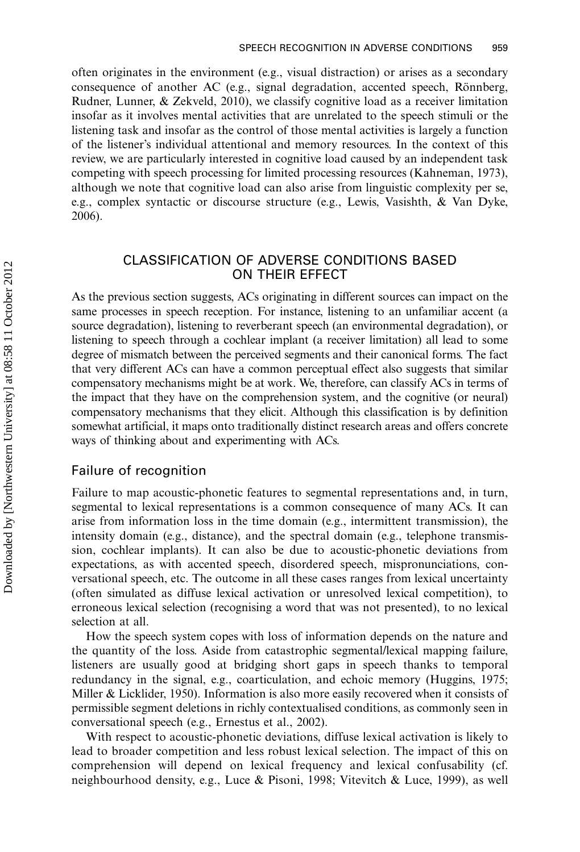often originates in the environment (e.g., visual distraction) or arises as a secondary consequence of another AC (e.g., signal degradation, accented speech, Rönnberg, Rudner, Lunner, & Zekveld, 2010), we classify cognitive load as a receiver limitation insofar as it involves mental activities that are unrelated to the speech stimuli or the listening task and insofar as the control of those mental activities is largely a function of the listener's individual attentional and memory resources. In the context of this review, we are particularly interested in cognitive load caused by an independent task competing with speech processing for limited processing resources (Kahneman, 1973), although we note that cognitive load can also arise from linguistic complexity per se, e.g., complex syntactic or discourse structure (e.g., Lewis, Vasishth, & Van Dyke, 2006).

## CLASSIFICATION OF ADVERSE CONDITIONS BASED ON THEIR EFFECT

As the previous section suggests, ACs originating in different sources can impact on the same processes in speech reception. For instance, listening to an unfamiliar accent (a source degradation), listening to reverberant speech (an environmental degradation), or listening to speech through a cochlear implant (a receiver limitation) all lead to some degree of mismatch between the perceived segments and their canonical forms. The fact that very different ACs can have a common perceptual effect also suggests that similar compensatory mechanisms might be at work. We, therefore, can classify ACs in terms of the impact that they have on the comprehension system, and the cognitive (or neural) compensatory mechanisms that they elicit. Although this classification is by definition somewhat artificial, it maps onto traditionally distinct research areas and offers concrete ways of thinking about and experimenting with ACs.

## Failure of recognition

Failure to map acoustic-phonetic features to segmental representations and, in turn, segmental to lexical representations is a common consequence of many ACs. It can arise from information loss in the time domain (e.g., intermittent transmission), the intensity domain (e.g., distance), and the spectral domain (e.g., telephone transmission, cochlear implants). It can also be due to acoustic-phonetic deviations from expectations, as with accented speech, disordered speech, mispronunciations, conversational speech, etc. The outcome in all these cases ranges from lexical uncertainty (often simulated as diffuse lexical activation or unresolved lexical competition), to erroneous lexical selection (recognising a word that was not presented), to no lexical selection at all.

How the speech system copes with loss of information depends on the nature and the quantity of the loss. Aside from catastrophic segmental/lexical mapping failure, listeners are usually good at bridging short gaps in speech thanks to temporal redundancy in the signal, e.g., coarticulation, and echoic memory (Huggins, 1975; Miller & Licklider, 1950). Information is also more easily recovered when it consists of permissible segment deletions in richly contextualised conditions, as commonly seen in conversational speech (e.g., Ernestus et al., 2002).

With respect to acoustic-phonetic deviations, diffuse lexical activation is likely to lead to broader competition and less robust lexical selection. The impact of this on comprehension will depend on lexical frequency and lexical confusability (cf. neighbourhood density, e.g., Luce & Pisoni, 1998; Vitevitch & Luce, 1999), as well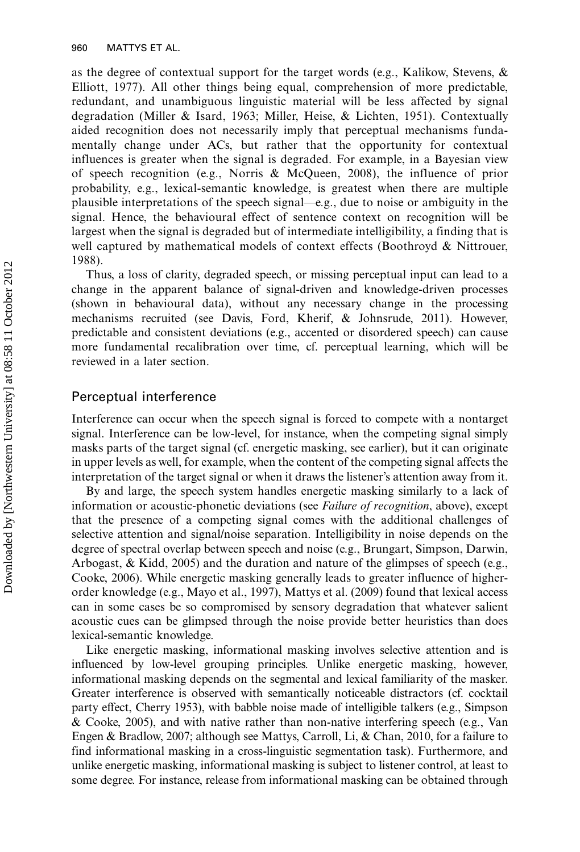as the degree of contextual support for the target words (e.g., Kalikow, Stevens, & Elliott, 1977). All other things being equal, comprehension of more predictable, redundant, and unambiguous linguistic material will be less affected by signal degradation (Miller & Isard, 1963; Miller, Heise, & Lichten, 1951). Contextually aided recognition does not necessarily imply that perceptual mechanisms fundamentally change under ACs, but rather that the opportunity for contextual influences is greater when the signal is degraded. For example, in a Bayesian view of speech recognition (e.g., Norris & McQueen, 2008), the influence of prior probability, e.g., lexical-semantic knowledge, is greatest when there are multiple plausible interpretations of the speech signal—e.g., due to noise or ambiguity in the signal. Hence, the behavioural effect of sentence context on recognition will be largest when the signal is degraded but of intermediate intelligibility, a finding that is well captured by mathematical models of context effects (Boothroyd & Nittrouer, 1988).

Thus, a loss of clarity, degraded speech, or missing perceptual input can lead to a change in the apparent balance of signal-driven and knowledge-driven processes (shown in behavioural data), without any necessary change in the processing mechanisms recruited (see Davis, Ford, Kherif, & Johnsrude, 2011). However, predictable and consistent deviations (e.g., accented or disordered speech) can cause more fundamental recalibration over time, cf. perceptual learning, which will be reviewed in a later section.

## Perceptual interference

Interference can occur when the speech signal is forced to compete with a nontarget signal. Interference can be low-level, for instance, when the competing signal simply masks parts of the target signal (cf. energetic masking, see earlier), but it can originate in upper levels as well, for example, when the content of the competing signal affects the interpretation of the target signal or when it draws the listener's attention away from it.

By and large, the speech system handles energetic masking similarly to a lack of information or acoustic-phonetic deviations (see *Failure of recognition*, above), except that the presence of a competing signal comes with the additional challenges of selective attention and signal/noise separation. Intelligibility in noise depends on the degree of spectral overlap between speech and noise (e.g., Brungart, Simpson, Darwin, Arbogast, & Kidd, 2005) and the duration and nature of the glimpses of speech (e.g., Cooke, 2006). While energetic masking generally leads to greater influence of higherorder knowledge (e.g., Mayo et al., 1997), Mattys et al. (2009) found that lexical access can in some cases be so compromised by sensory degradation that whatever salient acoustic cues can be glimpsed through the noise provide better heuristics than does lexical-semantic knowledge.

Like energetic masking, informational masking involves selective attention and is influenced by low-level grouping principles. Unlike energetic masking, however, informational masking depends on the segmental and lexical familiarity of the masker. Greater interference is observed with semantically noticeable distractors (cf. cocktail party effect, Cherry 1953), with babble noise made of intelligible talkers (e.g., Simpson & Cooke, 2005), and with native rather than non-native interfering speech (e.g., Van Engen & Bradlow, 2007; although see Mattys, Carroll, Li, & Chan, 2010, for a failure to find informational masking in a cross-linguistic segmentation task). Furthermore, and unlike energetic masking, informational masking is subject to listener control, at least to some degree. For instance, release from informational masking can be obtained through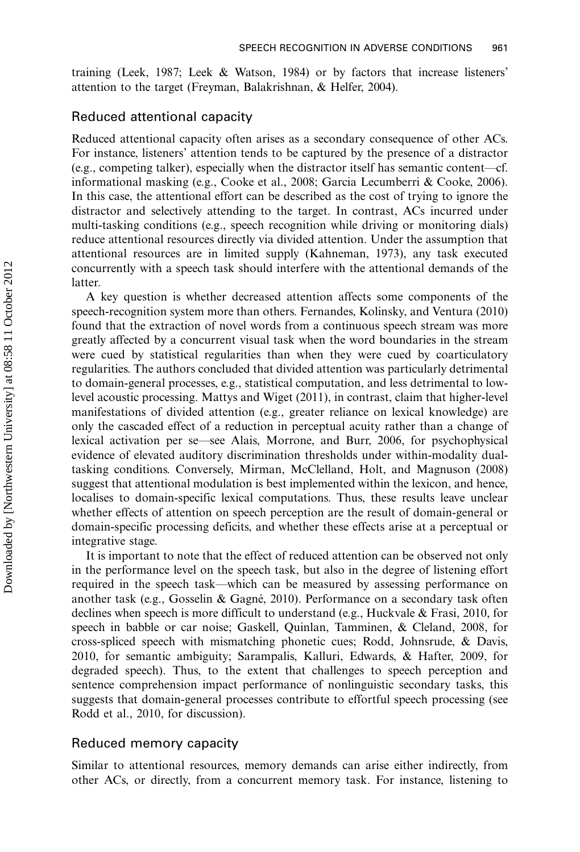training (Leek, 1987; Leek & Watson, 1984) or by factors that increase listeners' attention to the target (Freyman, Balakrishnan, & Helfer, 2004).

#### Reduced attentional capacity

Reduced attentional capacity often arises as a secondary consequence of other ACs. For instance, listeners' attention tends to be captured by the presence of a distractor (e.g., competing talker), especially when the distractor itself has semantic content—cf. informational masking (e.g., Cooke et al., 2008; Garcia Lecumberri & Cooke, 2006). In this case, the attentional effort can be described as the cost of trying to ignore the distractor and selectively attending to the target. In contrast, ACs incurred under multi-tasking conditions (e.g., speech recognition while driving or monitoring dials) reduce attentional resources directly via divided attention. Under the assumption that attentional resources are in limited supply (Kahneman, 1973), any task executed concurrently with a speech task should interfere with the attentional demands of the latter.

A key question is whether decreased attention affects some components of the speech-recognition system more than others. Fernandes, Kolinsky, and Ventura (2010) found that the extraction of novel words from a continuous speech stream was more greatly affected by a concurrent visual task when the word boundaries in the stream were cued by statistical regularities than when they were cued by coarticulatory regularities. The authors concluded that divided attention was particularly detrimental to domain-general processes, e.g., statistical computation, and less detrimental to lowlevel acoustic processing. Mattys and Wiget (2011), in contrast, claim that higher-level manifestations of divided attention (e.g., greater reliance on lexical knowledge) are only the cascaded effect of a reduction in perceptual acuity rather than a change of lexical activation per se—see Alais, Morrone, and Burr, 2006, for psychophysical evidence of elevated auditory discrimination thresholds under within-modality dualtasking conditions. Conversely, Mirman, McClelland, Holt, and Magnuson (2008) suggest that attentional modulation is best implemented within the lexicon, and hence, localises to domain-specific lexical computations. Thus, these results leave unclear whether effects of attention on speech perception are the result of domain-general or domain-specific processing deficits, and whether these effects arise at a perceptual or integrative stage.

It is important to note that the effect of reduced attention can be observed not only in the performance level on the speech task, but also in the degree of listening effort required in the speech task—which can be measured by assessing performance on another task (e.g., Gosselin & Gagné, 2010). Performance on a secondary task often declines when speech is more difficult to understand (e.g., Huckvale & Frasi, 2010, for speech in babble or car noise; Gaskell, Quinlan, Tamminen, & Cleland, 2008, for cross-spliced speech with mismatching phonetic cues; Rodd, Johnsrude, & Davis, 2010, for semantic ambiguity; Sarampalis, Kalluri, Edwards, & Hafter, 2009, for degraded speech). Thus, to the extent that challenges to speech perception and sentence comprehension impact performance of nonlinguistic secondary tasks, this suggests that domain-general processes contribute to effortful speech processing (see Rodd et al., 2010, for discussion).

#### Reduced memory capacity

Similar to attentional resources, memory demands can arise either indirectly, from other ACs, or directly, from a concurrent memory task. For instance, listening to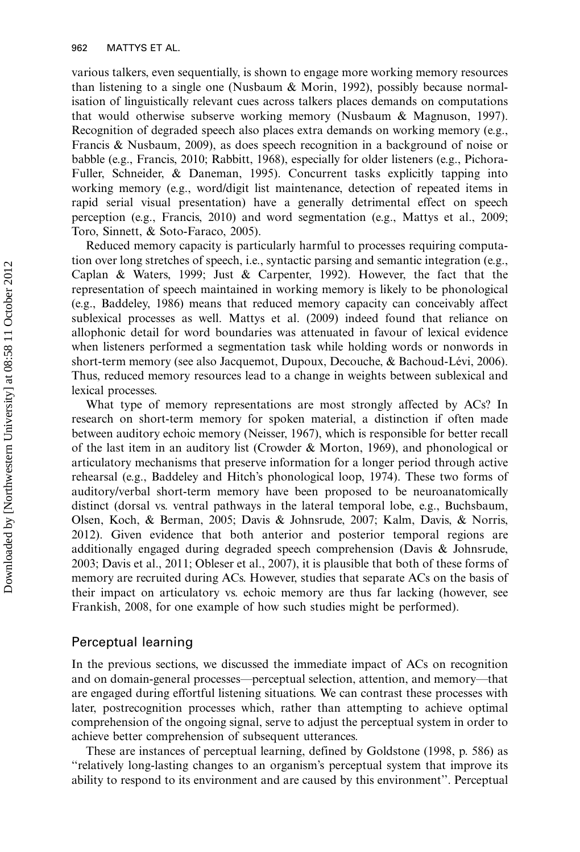various talkers, even sequentially, is shown to engage more working memory resources than listening to a single one (Nusbaum  $\&$  Morin, 1992), possibly because normalisation of linguistically relevant cues across talkers places demands on computations that would otherwise subserve working memory (Nusbaum & Magnuson, 1997). Recognition of degraded speech also places extra demands on working memory (e.g., Francis & Nusbaum, 2009), as does speech recognition in a background of noise or babble (e.g., Francis, 2010; Rabbitt, 1968), especially for older listeners (e.g., Pichora-Fuller, Schneider, & Daneman, 1995). Concurrent tasks explicitly tapping into working memory (e.g., word/digit list maintenance, detection of repeated items in rapid serial visual presentation) have a generally detrimental effect on speech perception (e.g., Francis, 2010) and word segmentation (e.g., Mattys et al., 2009; Toro, Sinnett, & Soto-Faraco, 2005).

Reduced memory capacity is particularly harmful to processes requiring computation over long stretches of speech, i.e., syntactic parsing and semantic integration (e.g., Caplan & Waters, 1999; Just & Carpenter, 1992). However, the fact that the representation of speech maintained in working memory is likely to be phonological (e.g., Baddeley, 1986) means that reduced memory capacity can conceivably affect sublexical processes as well. Mattys et al. (2009) indeed found that reliance on allophonic detail for word boundaries was attenuated in favour of lexical evidence when listeners performed a segmentation task while holding words or nonwords in short-term memory (see also Jacquemot, Dupoux, Decouche, & Bachoud-Lévi, 2006). Thus, reduced memory resources lead to a change in weights between sublexical and lexical processes.

What type of memory representations are most strongly affected by ACs? In research on short-term memory for spoken material, a distinction if often made between auditory echoic memory (Neisser, 1967), which is responsible for better recall of the last item in an auditory list (Crowder & Morton, 1969), and phonological or articulatory mechanisms that preserve information for a longer period through active rehearsal (e.g., Baddeley and Hitch's phonological loop, 1974). These two forms of auditory/verbal short-term memory have been proposed to be neuroanatomically distinct (dorsal vs. ventral pathways in the lateral temporal lobe, e.g., Buchsbaum, Olsen, Koch, & Berman, 2005; Davis & Johnsrude, 2007; Kalm, Davis, & Norris, 2012). Given evidence that both anterior and posterior temporal regions are additionally engaged during degraded speech comprehension (Davis & Johnsrude, 2003; Davis et al., 2011; Obleser et al., 2007), it is plausible that both of these forms of memory are recruited during ACs. However, studies that separate ACs on the basis of their impact on articulatory vs. echoic memory are thus far lacking (however, see Frankish, 2008, for one example of how such studies might be performed).

### Perceptual learning

In the previous sections, we discussed the immediate impact of ACs on recognition and on domain-general processes—perceptual selection, attention, and memory—that are engaged during effortful listening situations. We can contrast these processes with later, postrecognition processes which, rather than attempting to achieve optimal comprehension of the ongoing signal, serve to adjust the perceptual system in order to achieve better comprehension of subsequent utterances.

These are instances of perceptual learning, defined by Goldstone (1998, p. 586) as ''relatively long-lasting changes to an organism's perceptual system that improve its ability to respond to its environment and are caused by this environment''. Perceptual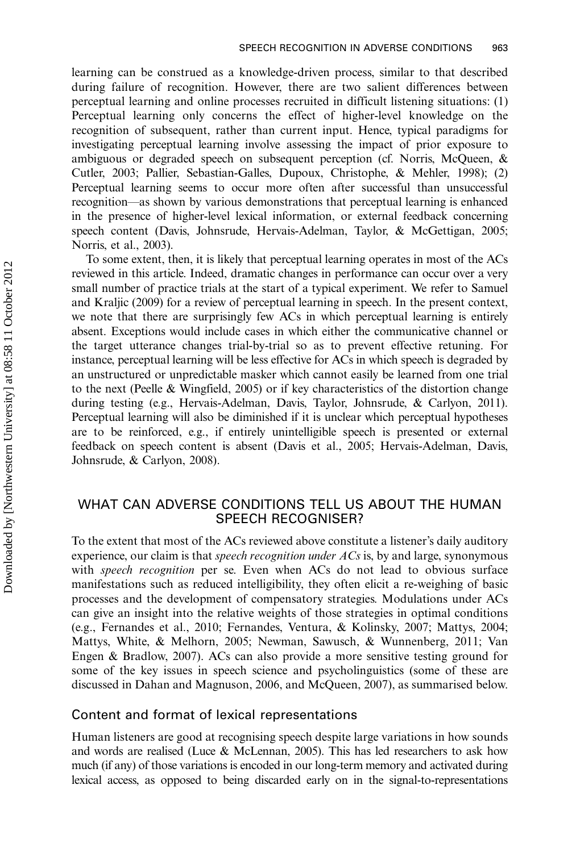learning can be construed as a knowledge-driven process, similar to that described during failure of recognition. However, there are two salient differences between perceptual learning and online processes recruited in difficult listening situations: (1) Perceptual learning only concerns the effect of higher-level knowledge on the recognition of subsequent, rather than current input. Hence, typical paradigms for investigating perceptual learning involve assessing the impact of prior exposure to ambiguous or degraded speech on subsequent perception (cf. Norris, McQueen, & Cutler, 2003; Pallier, Sebastian-Galles, Dupoux, Christophe, & Mehler, 1998); (2) Perceptual learning seems to occur more often after successful than unsuccessful recognition—as shown by various demonstrations that perceptual learning is enhanced in the presence of higher-level lexical information, or external feedback concerning speech content (Davis, Johnsrude, Hervais-Adelman, Taylor, & McGettigan, 2005; Norris, et al., 2003).

To some extent, then, it is likely that perceptual learning operates in most of the ACs reviewed in this article. Indeed, dramatic changes in performance can occur over a very small number of practice trials at the start of a typical experiment. We refer to Samuel and Kraljic (2009) for a review of perceptual learning in speech. In the present context, we note that there are surprisingly few ACs in which perceptual learning is entirely absent. Exceptions would include cases in which either the communicative channel or the target utterance changes trial-by-trial so as to prevent effective retuning. For instance, perceptual learning will be less effective for ACs in which speech is degraded by an unstructured or unpredictable masker which cannot easily be learned from one trial to the next (Peelle & Wingfield, 2005) or if key characteristics of the distortion change during testing (e.g., Hervais-Adelman, Davis, Taylor, Johnsrude, & Carlyon, 2011). Perceptual learning will also be diminished if it is unclear which perceptual hypotheses are to be reinforced, e.g., if entirely unintelligible speech is presented or external feedback on speech content is absent (Davis et al., 2005; Hervais-Adelman, Davis, Johnsrude, & Carlyon, 2008).

## WHAT CAN ADVERSE CONDITIONS TELL US ABOUT THE HUMAN SPEECH RECOGNISER?

To the extent that most of the ACs reviewed above constitute a listener's daily auditory experience, our claim is that *speech recognition under ACs* is, by and large, synonymous with *speech recognition* per se. Even when ACs do not lead to obvious surface manifestations such as reduced intelligibility, they often elicit a re-weighing of basic processes and the development of compensatory strategies. Modulations under ACs can give an insight into the relative weights of those strategies in optimal conditions (e.g., Fernandes et al., 2010; Fernandes, Ventura, & Kolinsky, 2007; Mattys, 2004; Mattys, White, & Melhorn, 2005; Newman, Sawusch, & Wunnenberg, 2011; Van Engen & Bradlow, 2007). ACs can also provide a more sensitive testing ground for some of the key issues in speech science and psycholinguistics (some of these are discussed in Dahan and Magnuson, 2006, and McQueen, 2007), as summarised below.

#### Content and format of lexical representations

Human listeners are good at recognising speech despite large variations in how sounds and words are realised (Luce  $\&$  McLennan, 2005). This has led researchers to ask how much (if any) of those variations is encoded in our long-term memory and activated during lexical access, as opposed to being discarded early on in the signal-to-representations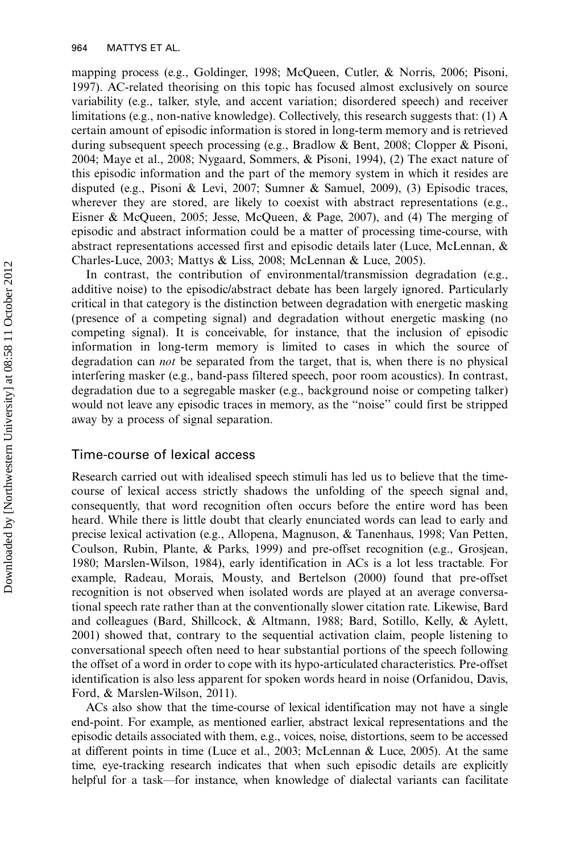mapping process (e.g., Goldinger, 1998; McQueen, Cutler, & Norris, 2006; Pisoni, 1997). AC-related theorising on this topic has focused almost exclusively on source variability (e.g., talker, style, and accent variation; disordered speech) and receiver limitations (e.g., non-native knowledge). Collectively, this research suggests that: (1) A certain amount of episodic information is stored in long-term memory and is retrieved during subsequent speech processing (e.g., Bradlow & Bent, 2008; Clopper & Pisoni, 2004; Maye et al., 2008; Nygaard, Sommers, & Pisoni, 1994), (2) The exact nature of this episodic information and the part of the memory system in which it resides are disputed (e.g., Pisoni & Levi, 2007; Sumner & Samuel, 2009), (3) Episodic traces, wherever they are stored, are likely to coexist with abstract representations (e.g., Eisner & McQueen, 2005; Jesse, McQueen, & Page, 2007), and (4) The merging of episodic and abstract information could be a matter of processing time-course, with abstract representations accessed first and episodic details later (Luce, McLennan, & Charles-Luce, 2003; Mattys & Liss, 2008; McLennan & Luce, 2005).

In contrast, the contribution of environmental/transmission degradation (e.g., additive noise) to the episodic/abstract debate has been largely ignored. Particularly critical in that category is the distinction between degradation with energetic masking (presence of a competing signal) and degradation without energetic masking (no competing signal). It is conceivable, for instance, that the inclusion of episodic information in long-term memory is limited to cases in which the source of degradation can *not* be separated from the target, that is, when there is no physical interfering masker (e.g., band-pass filtered speech, poor room acoustics). In contrast, degradation due to a segregable masker (e.g., background noise or competing talker) would not leave any episodic traces in memory, as the ''noise'' could first be stripped away by a process of signal separation.

## Time-course of lexical access

Research carried out with idealised speech stimuli has led us to believe that the timecourse of lexical access strictly shadows the unfolding of the speech signal and, consequently, that word recognition often occurs before the entire word has been heard. While there is little doubt that clearly enunciated words can lead to early and precise lexical activation (e.g., Allopena, Magnuson, & Tanenhaus, 1998; Van Petten, Coulson, Rubin, Plante, & Parks, 1999) and pre-offset recognition (e.g., Grosjean, 1980; Marslen-Wilson, 1984), early identification in ACs is a lot less tractable. For example, Radeau, Morais, Mousty, and Bertelson (2000) found that pre-offset recognition is not observed when isolated words are played at an average conversational speech rate rather than at the conventionally slower citation rate. Likewise, Bard and colleagues (Bard, Shillcock, & Altmann, 1988; Bard, Sotillo, Kelly, & Aylett, 2001) showed that, contrary to the sequential activation claim, people listening to conversational speech often need to hear substantial portions of the speech following the offset of a word in order to cope with its hypo-articulated characteristics. Pre-offset identification is also less apparent for spoken words heard in noise (Orfanidou, Davis, Ford, & Marslen-Wilson, 2011).

ACs also show that the time-course of lexical identification may not have a single end-point. For example, as mentioned earlier, abstract lexical representations and the episodic details associated with them, e.g., voices, noise, distortions, seem to be accessed at different points in time (Luce et al., 2003; McLennan & Luce, 2005). At the same time, eye-tracking research indicates that when such episodic details are explicitly helpful for a task—for instance, when knowledge of dialectal variants can facilitate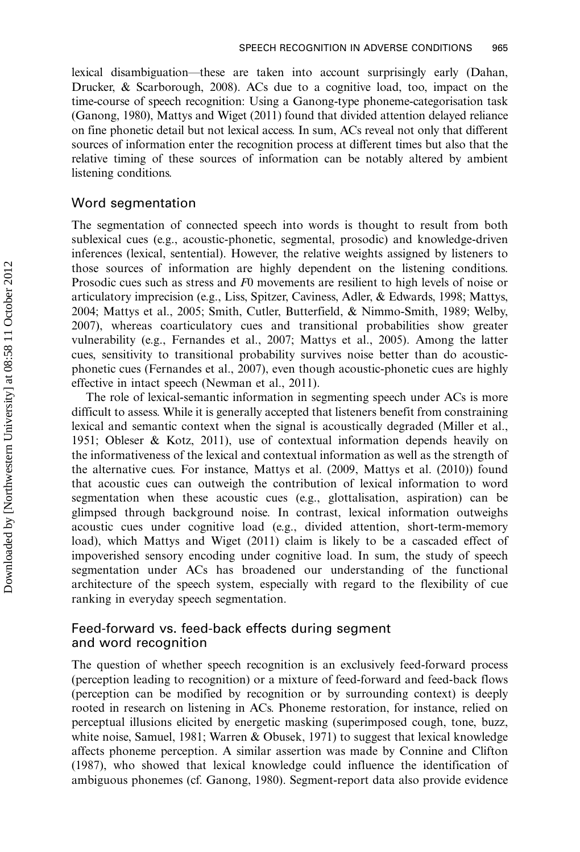lexical disambiguation—these are taken into account surprisingly early (Dahan, Drucker, & Scarborough, 2008). ACs due to a cognitive load, too, impact on the time-course of speech recognition: Using a Ganong-type phoneme-categorisation task (Ganong, 1980), Mattys and Wiget (2011) found that divided attention delayed reliance on fine phonetic detail but not lexical access. In sum, ACs reveal not only that different sources of information enter the recognition process at different times but also that the relative timing of these sources of information can be notably altered by ambient listening conditions.

#### Word segmentation

The segmentation of connected speech into words is thought to result from both sublexical cues (e.g., acoustic-phonetic, segmental, prosodic) and knowledge-driven inferences (lexical, sentential). However, the relative weights assigned by listeners to those sources of information are highly dependent on the listening conditions. Prosodic cues such as stress and F0 movements are resilient to high levels of noise or articulatory imprecision (e.g., Liss, Spitzer, Caviness, Adler, & Edwards, 1998; Mattys, 2004; Mattys et al., 2005; Smith, Cutler, Butterfield, & Nimmo-Smith, 1989; Welby, 2007), whereas coarticulatory cues and transitional probabilities show greater vulnerability (e.g., Fernandes et al., 2007; Mattys et al., 2005). Among the latter cues, sensitivity to transitional probability survives noise better than do acousticphonetic cues (Fernandes et al., 2007), even though acoustic-phonetic cues are highly effective in intact speech (Newman et al., 2011).

The role of lexical-semantic information in segmenting speech under ACs is more difficult to assess. While it is generally accepted that listeners benefit from constraining lexical and semantic context when the signal is acoustically degraded (Miller et al., 1951; Obleser & Kotz, 2011), use of contextual information depends heavily on the informativeness of the lexical and contextual information as well as the strength of the alternative cues. For instance, Mattys et al. (2009, Mattys et al. (2010)) found that acoustic cues can outweigh the contribution of lexical information to word segmentation when these acoustic cues (e.g., glottalisation, aspiration) can be glimpsed through background noise. In contrast, lexical information outweighs acoustic cues under cognitive load (e.g., divided attention, short-term-memory load), which Mattys and Wiget (2011) claim is likely to be a cascaded effect of impoverished sensory encoding under cognitive load. In sum, the study of speech segmentation under ACs has broadened our understanding of the functional architecture of the speech system, especially with regard to the flexibility of cue ranking in everyday speech segmentation.

## Feed-forward vs. feed-back effects during segment and word recognition

The question of whether speech recognition is an exclusively feed-forward process (perception leading to recognition) or a mixture of feed-forward and feed-back flows (perception can be modified by recognition or by surrounding context) is deeply rooted in research on listening in ACs. Phoneme restoration, for instance, relied on perceptual illusions elicited by energetic masking (superimposed cough, tone, buzz, white noise, Samuel, 1981; Warren & Obusek, 1971) to suggest that lexical knowledge affects phoneme perception. A similar assertion was made by Connine and Clifton (1987), who showed that lexical knowledge could influence the identification of ambiguous phonemes (cf. Ganong, 1980). Segment-report data also provide evidence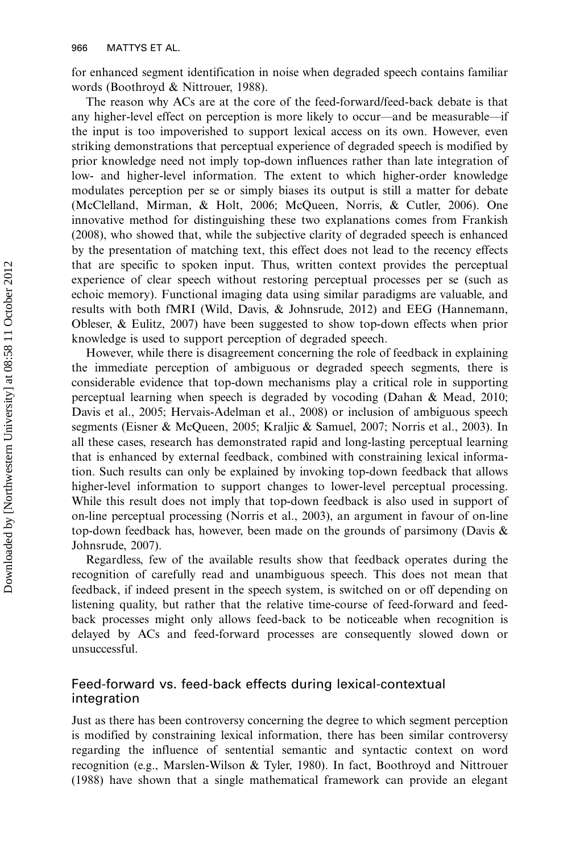for enhanced segment identification in noise when degraded speech contains familiar words (Boothroyd & Nittrouer, 1988).

The reason why ACs are at the core of the feed-forward/feed-back debate is that any higher-level effect on perception is more likely to occur-and be measurable-if the input is too impoverished to support lexical access on its own. However, even striking demonstrations that perceptual experience of degraded speech is modified by prior knowledge need not imply top-down influences rather than late integration of low- and higher-level information. The extent to which higher-order knowledge modulates perception per se or simply biases its output is still a matter for debate (McClelland, Mirman, & Holt, 2006; McQueen, Norris, & Cutler, 2006). One innovative method for distinguishing these two explanations comes from Frankish (2008), who showed that, while the subjective clarity of degraded speech is enhanced by the presentation of matching text, this effect does not lead to the recency effects that are specific to spoken input. Thus, written context provides the perceptual experience of clear speech without restoring perceptual processes per se (such as echoic memory). Functional imaging data using similar paradigms are valuable, and results with both fMRI (Wild, Davis, & Johnsrude, 2012) and EEG (Hannemann, Obleser, & Eulitz, 2007) have been suggested to show top-down effects when prior knowledge is used to support perception of degraded speech.

However, while there is disagreement concerning the role of feedback in explaining the immediate perception of ambiguous or degraded speech segments, there is considerable evidence that top-down mechanisms play a critical role in supporting perceptual learning when speech is degraded by vocoding (Dahan & Mead, 2010; Davis et al., 2005; Hervais-Adelman et al., 2008) or inclusion of ambiguous speech segments (Eisner & McQueen, 2005; Kraljic & Samuel, 2007; Norris et al., 2003). In all these cases, research has demonstrated rapid and long-lasting perceptual learning that is enhanced by external feedback, combined with constraining lexical information. Such results can only be explained by invoking top-down feedback that allows higher-level information to support changes to lower-level perceptual processing. While this result does not imply that top-down feedback is also used in support of on-line perceptual processing (Norris et al., 2003), an argument in favour of on-line top-down feedback has, however, been made on the grounds of parsimony (Davis & Johnsrude, 2007).

Regardless, few of the available results show that feedback operates during the recognition of carefully read and unambiguous speech. This does not mean that feedback, if indeed present in the speech system, is switched on or off depending on listening quality, but rather that the relative time-course of feed-forward and feedback processes might only allows feed-back to be noticeable when recognition is delayed by ACs and feed-forward processes are consequently slowed down or unsuccessful.

## Feed-forward vs. feed-back effects during lexical-contextual integration

Just as there has been controversy concerning the degree to which segment perception is modified by constraining lexical information, there has been similar controversy regarding the influence of sentential semantic and syntactic context on word recognition (e.g., Marslen-Wilson & Tyler, 1980). In fact, Boothroyd and Nittrouer (1988) have shown that a single mathematical framework can provide an elegant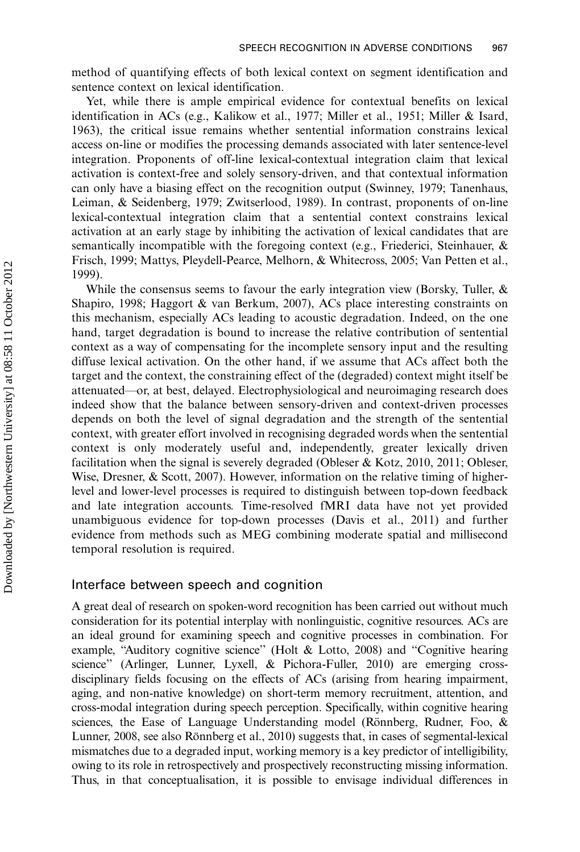method of quantifying effects of both lexical context on segment identification and sentence context on lexical identification.

Yet, while there is ample empirical evidence for contextual benefits on lexical identification in ACs (e.g., Kalikow et al., 1977; Miller et al., 1951; Miller & Isard, 1963), the critical issue remains whether sentential information constrains lexical access on-line or modifies the processing demands associated with later sentence-level integration. Proponents of off-line lexical-contextual integration claim that lexical activation is context-free and solely sensory-driven, and that contextual information can only have a biasing effect on the recognition output (Swinney, 1979; Tanenhaus, Leiman, & Seidenberg, 1979; Zwitserlood, 1989). In contrast, proponents of on-line lexical-contextual integration claim that a sentential context constrains lexical activation at an early stage by inhibiting the activation of lexical candidates that are semantically incompatible with the foregoing context (e.g., Friederici, Steinhauer, & Frisch, 1999; Mattys, Pleydell-Pearce, Melhorn, & Whitecross, 2005; Van Petten et al., 1999).

While the consensus seems to favour the early integration view (Borsky, Tuller,  $\&$ Shapiro, 1998; Haggort & van Berkum, 2007), ACs place interesting constraints on this mechanism, especially ACs leading to acoustic degradation. Indeed, on the one hand, target degradation is bound to increase the relative contribution of sentential context as a way of compensating for the incomplete sensory input and the resulting diffuse lexical activation. On the other hand, if we assume that ACs affect both the target and the context, the constraining effect of the (degraded) context might itself be attenuated-or, at best, delayed. Electrophysiological and neuroimaging research does indeed show that the balance between sensory-driven and context-driven processes depends on both the level of signal degradation and the strength of the sentential context, with greater effort involved in recognising degraded words when the sentential context is only moderately useful and, independently, greater lexically driven facilitation when the signal is severely degraded (Obleser & Kotz, 2010, 2011; Obleser, Wise, Dresner, & Scott, 2007). However, information on the relative timing of higherlevel and lower-level processes is required to distinguish between top-down feedback and late integration accounts. Time-resolved fMRI data have not yet provided unambiguous evidence for top-down processes (Davis et al., 2011) and further evidence from methods such as MEG combining moderate spatial and millisecond temporal resolution is required.

#### Interface between speech and cognition

A great deal of research on spoken-word recognition has been carried out without much consideration for its potential interplay with nonlinguistic, cognitive resources. ACs are an ideal ground for examining speech and cognitive processes in combination. For example, "Auditory cognitive science" (Holt & Lotto, 2008) and "Cognitive hearing science'' (Arlinger, Lunner, Lyxell, & Pichora-Fuller, 2010) are emerging crossdisciplinary fields focusing on the effects of ACs (arising from hearing impairment, aging, and non-native knowledge) on short-term memory recruitment, attention, and cross-modal integration during speech perception. Specifically, within cognitive hearing sciences, the Ease of Language Understanding model (Rönnberg, Rudner, Foo,  $\&$ Lunner, 2008, see also Rönnberg et al., 2010) suggests that, in cases of segmental-lexical mismatches due to a degraded input, working memory is a key predictor of intelligibility, owing to its role in retrospectively and prospectively reconstructing missing information. Thus, in that conceptualisation, it is possible to envisage individual differences in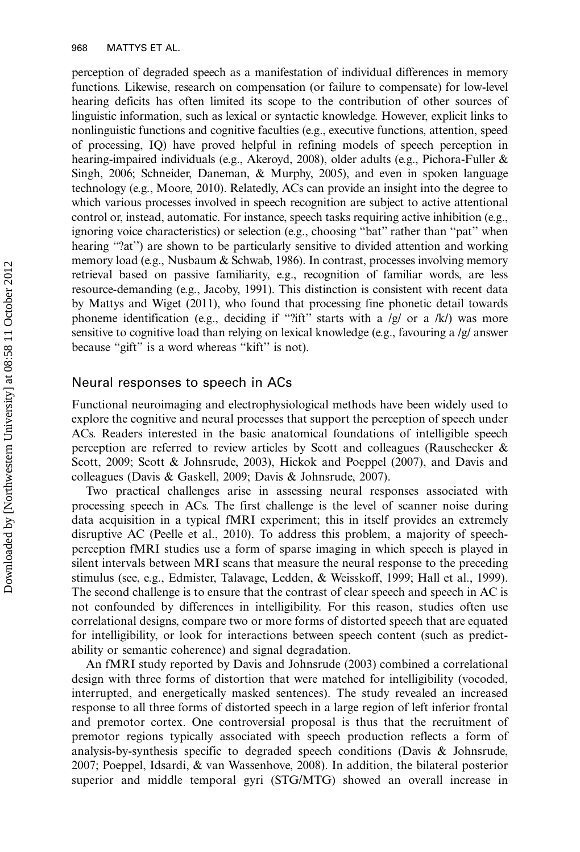perception of degraded speech as a manifestation of individual differences in memory functions. Likewise, research on compensation (or failure to compensate) for low-level hearing deficits has often limited its scope to the contribution of other sources of linguistic information, such as lexical or syntactic knowledge. However, explicit links to nonlinguistic functions and cognitive faculties (e.g., executive functions, attention, speed of processing, IQ) have proved helpful in refining models of speech perception in hearing-impaired individuals (e.g., Akeroyd, 2008), older adults (e.g., Pichora-Fuller & Singh, 2006; Schneider, Daneman, & Murphy, 2005), and even in spoken language technology (e.g., Moore, 2010). Relatedly, ACs can provide an insight into the degree to which various processes involved in speech recognition are subject to active attentional control or, instead, automatic. For instance, speech tasks requiring active inhibition (e.g., ignoring voice characteristics) or selection (e.g., choosing "bat" rather than "pat" when hearing "?at") are shown to be particularly sensitive to divided attention and working memory load (e.g., Nusbaum & Schwab, 1986). In contrast, processes involving memory retrieval based on passive familiarity, e.g., recognition of familiar words, are less resource-demanding (e.g., Jacoby, 1991). This distinction is consistent with recent data by Mattys and Wiget (2011), who found that processing fine phonetic detail towards phoneme identification (e.g., deciding if "?ift" starts with a  $/g/$  or a  $/k/$ ) was more sensitive to cognitive load than relying on lexical knowledge (e.g., favouring a /g/ answer because "gift" is a word whereas "kift" is not).

#### Neural responses to speech in ACs

Functional neuroimaging and electrophysiological methods have been widely used to explore the cognitive and neural processes that support the perception of speech under ACs. Readers interested in the basic anatomical foundations of intelligible speech perception are referred to review articles by Scott and colleagues (Rauschecker & Scott, 2009; Scott & Johnsrude, 2003), Hickok and Poeppel (2007), and Davis and colleagues (Davis & Gaskell, 2009; Davis & Johnsrude, 2007).

Two practical challenges arise in assessing neural responses associated with processing speech in ACs. The first challenge is the level of scanner noise during data acquisition in a typical fMRI experiment; this in itself provides an extremely disruptive AC (Peelle et al., 2010). To address this problem, a majority of speechperception fMRI studies use a form of sparse imaging in which speech is played in silent intervals between MRI scans that measure the neural response to the preceding stimulus (see, e.g., Edmister, Talavage, Ledden, & Weisskoff, 1999; Hall et al., 1999). The second challenge is to ensure that the contrast of clear speech and speech in AC is not confounded by differences in intelligibility. For this reason, studies often use correlational designs, compare two or more forms of distorted speech that are equated for intelligibility, or look for interactions between speech content (such as predictability or semantic coherence) and signal degradation.

An fMRI study reported by Davis and Johnsrude (2003) combined a correlational design with three forms of distortion that were matched for intelligibility (vocoded, interrupted, and energetically masked sentences). The study revealed an increased response to all three forms of distorted speech in a large region of left inferior frontal and premotor cortex. One controversial proposal is thus that the recruitment of premotor regions typically associated with speech production reflects a form of analysis-by-synthesis specific to degraded speech conditions (Davis & Johnsrude, 2007; Poeppel, Idsardi, & van Wassenhove, 2008). In addition, the bilateral posterior superior and middle temporal gyri (STG/MTG) showed an overall increase in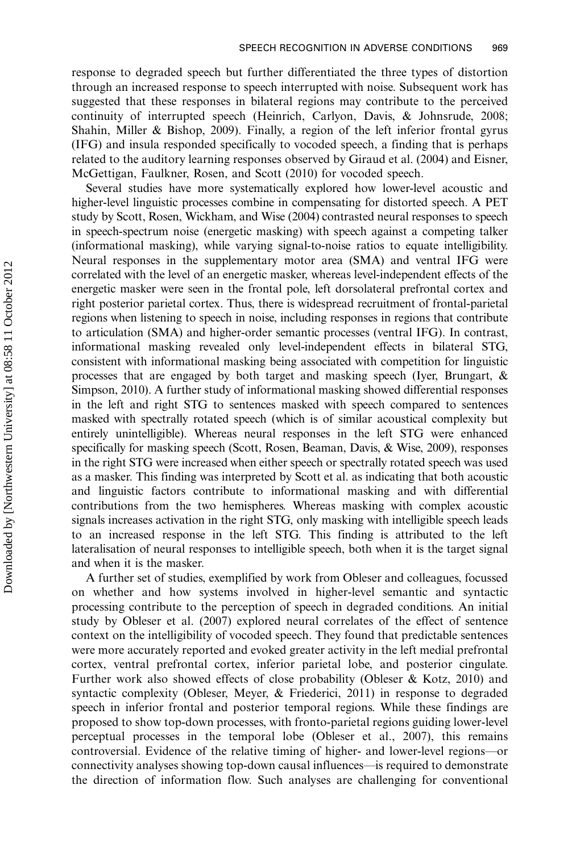response to degraded speech but further differentiated the three types of distortion through an increased response to speech interrupted with noise. Subsequent work has suggested that these responses in bilateral regions may contribute to the perceived continuity of interrupted speech (Heinrich, Carlyon, Davis, & Johnsrude, 2008; Shahin, Miller & Bishop, 2009). Finally, a region of the left inferior frontal gyrus (IFG) and insula responded specifically to vocoded speech, a finding that is perhaps related to the auditory learning responses observed by Giraud et al. (2004) and Eisner, McGettigan, Faulkner, Rosen, and Scott (2010) for vocoded speech.

Several studies have more systematically explored how lower-level acoustic and higher-level linguistic processes combine in compensating for distorted speech. A PET study by Scott, Rosen, Wickham, and Wise (2004) contrasted neural responses to speech in speech-spectrum noise (energetic masking) with speech against a competing talker (informational masking), while varying signal-to-noise ratios to equate intelligibility. Neural responses in the supplementary motor area (SMA) and ventral IFG were correlated with the level of an energetic masker, whereas level-independent effects of the energetic masker were seen in the frontal pole, left dorsolateral prefrontal cortex and right posterior parietal cortex. Thus, there is widespread recruitment of frontal-parietal regions when listening to speech in noise, including responses in regions that contribute to articulation (SMA) and higher-order semantic processes (ventral IFG). In contrast, informational masking revealed only level-independent effects in bilateral STG, consistent with informational masking being associated with competition for linguistic processes that are engaged by both target and masking speech (Iyer, Brungart, & Simpson, 2010). A further study of informational masking showed differential responses in the left and right STG to sentences masked with speech compared to sentences masked with spectrally rotated speech (which is of similar acoustical complexity but entirely unintelligible). Whereas neural responses in the left STG were enhanced specifically for masking speech (Scott, Rosen, Beaman, Davis, & Wise, 2009), responses in the right STG were increased when either speech or spectrally rotated speech was used as a masker. This finding was interpreted by Scott et al. as indicating that both acoustic and linguistic factors contribute to informational masking and with differential contributions from the two hemispheres. Whereas masking with complex acoustic signals increases activation in the right STG, only masking with intelligible speech leads to an increased response in the left STG. This finding is attributed to the left lateralisation of neural responses to intelligible speech, both when it is the target signal and when it is the masker.

A further set of studies, exemplified by work from Obleser and colleagues, focussed on whether and how systems involved in higher-level semantic and syntactic processing contribute to the perception of speech in degraded conditions. An initial study by Obleser et al. (2007) explored neural correlates of the effect of sentence context on the intelligibility of vocoded speech. They found that predictable sentences were more accurately reported and evoked greater activity in the left medial prefrontal cortex, ventral prefrontal cortex, inferior parietal lobe, and posterior cingulate. Further work also showed effects of close probability (Obleser & Kotz, 2010) and syntactic complexity (Obleser, Meyer, & Friederici, 2011) in response to degraded speech in inferior frontal and posterior temporal regions. While these findings are proposed to show top-down processes, with fronto-parietal regions guiding lower-level perceptual processes in the temporal lobe (Obleser et al., 2007), this remains controversial. Evidence of the relative timing of higher- and lower-level regions—or connectivity analyses showing top-down causal influences—is required to demonstrate the direction of information flow. Such analyses are challenging for conventional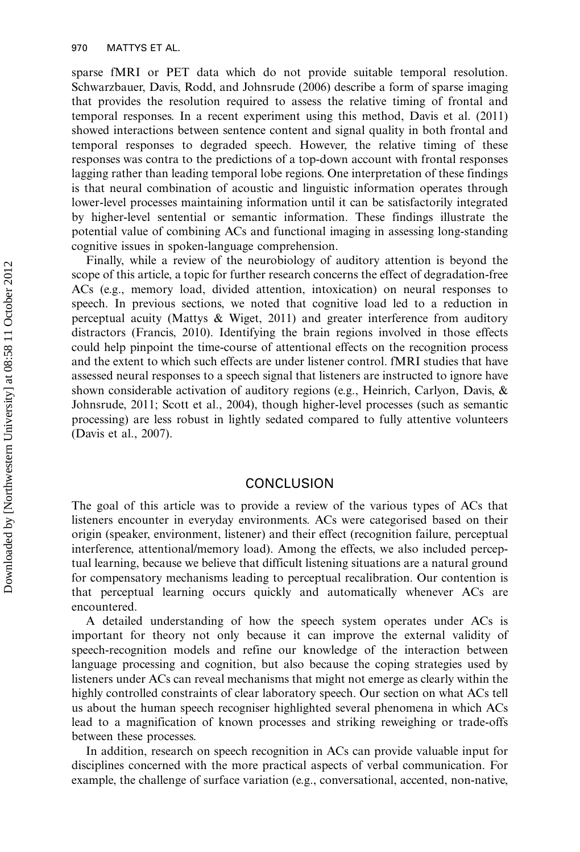sparse fMRI or PET data which do not provide suitable temporal resolution. Schwarzbauer, Davis, Rodd, and Johnsrude (2006) describe a form of sparse imaging that provides the resolution required to assess the relative timing of frontal and temporal responses. In a recent experiment using this method, Davis et al. (2011) showed interactions between sentence content and signal quality in both frontal and temporal responses to degraded speech. However, the relative timing of these responses was contra to the predictions of a top-down account with frontal responses lagging rather than leading temporal lobe regions. One interpretation of these findings is that neural combination of acoustic and linguistic information operates through lower-level processes maintaining information until it can be satisfactorily integrated by higher-level sentential or semantic information. These findings illustrate the potential value of combining ACs and functional imaging in assessing long-standing cognitive issues in spoken-language comprehension.

Finally, while a review of the neurobiology of auditory attention is beyond the scope of this article, a topic for further research concerns the effect of degradation-free ACs (e.g., memory load, divided attention, intoxication) on neural responses to speech. In previous sections, we noted that cognitive load led to a reduction in perceptual acuity (Mattys & Wiget, 2011) and greater interference from auditory distractors (Francis, 2010). Identifying the brain regions involved in those effects could help pinpoint the time-course of attentional effects on the recognition process and the extent to which such effects are under listener control. fMRI studies that have assessed neural responses to a speech signal that listeners are instructed to ignore have shown considerable activation of auditory regions (e.g., Heinrich, Carlyon, Davis, & Johnsrude, 2011; Scott et al., 2004), though higher-level processes (such as semantic processing) are less robust in lightly sedated compared to fully attentive volunteers (Davis et al., 2007).

### **CONCLUSION**

The goal of this article was to provide a review of the various types of ACs that listeners encounter in everyday environments. ACs were categorised based on their origin (speaker, environment, listener) and their effect (recognition failure, perceptual interference, attentional/memory load). Among the effects, we also included perceptual learning, because we believe that difficult listening situations are a natural ground for compensatory mechanisms leading to perceptual recalibration. Our contention is that perceptual learning occurs quickly and automatically whenever ACs are encountered.

A detailed understanding of how the speech system operates under ACs is important for theory not only because it can improve the external validity of speech-recognition models and refine our knowledge of the interaction between language processing and cognition, but also because the coping strategies used by listeners under ACs can reveal mechanisms that might not emerge as clearly within the highly controlled constraints of clear laboratory speech. Our section on what ACs tell us about the human speech recogniser highlighted several phenomena in which ACs lead to a magnification of known processes and striking reweighing or trade-offs between these processes.

In addition, research on speech recognition in ACs can provide valuable input for disciplines concerned with the more practical aspects of verbal communication. For example, the challenge of surface variation (e.g., conversational, accented, non-native,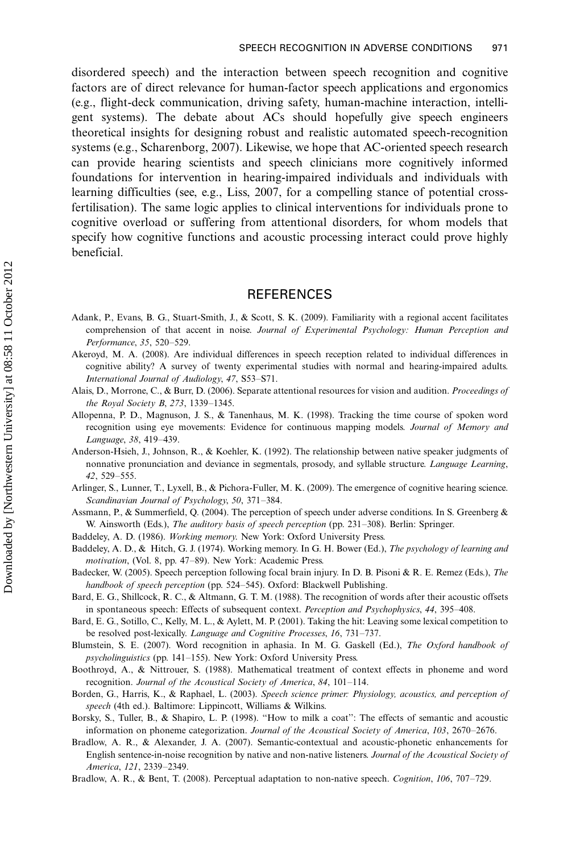disordered speech) and the interaction between speech recognition and cognitive factors are of direct relevance for human-factor speech applications and ergonomics (e.g., flight-deck communication, driving safety, human-machine interaction, intelligent systems). The debate about ACs should hopefully give speech engineers theoretical insights for designing robust and realistic automated speech-recognition systems (e.g., Scharenborg, 2007). Likewise, we hope that AC-oriented speech research can provide hearing scientists and speech clinicians more cognitively informed foundations for intervention in hearing-impaired individuals and individuals with learning difficulties (see, e.g., Liss, 2007, for a compelling stance of potential crossfertilisation). The same logic applies to clinical interventions for individuals prone to cognitive overload or suffering from attentional disorders, for whom models that specify how cognitive functions and acoustic processing interact could prove highly beneficial.

## **REFERENCES**

- Adank, P., Evans, B. G., Stuart-Smith, J., & Scott, S. K. (2009). Familiarity with a regional accent facilitates comprehension of that accent in noise. Journal of Experimental Psychology: Human Perception and Performance, 35, 520-529.
- Akeroyd, M. A. (2008). Are individual differences in speech reception related to individual differences in cognitive ability? A survey of twenty experimental studies with normal and hearing-impaired adults. International Journal of Audiology, 47, S53-S71.
- Alais, D., Morrone, C., & Burr, D. (2006). Separate attentional resources for vision and audition. Proceedings of the Royal Society B, 273, 1339-1345.
- Allopenna, P. D., Magnuson, J. S., & Tanenhaus, M. K. (1998). Tracking the time course of spoken word recognition using eye movements: Evidence for continuous mapping models. Journal of Memory and Language, 38, 419-439.
- Anderson-Hsieh, J., Johnson, R., & Koehler, K. (1992). The relationship between native speaker judgments of nonnative pronunciation and deviance in segmentals, prosody, and syllable structure. Language Learning,  $42, 529 - 555.$
- Arlinger, S., Lunner, T., Lyxell, B., & Pichora-Fuller, M. K. (2009). The emergence of cognitive hearing science. Scandinavian Journal of Psychology, 50, 371-384.
- Assmann, P., & Summerfield, Q. (2004). The perception of speech under adverse conditions. In S. Greenberg & W. Ainsworth (Eds.), The auditory basis of speech perception (pp. 231-308). Berlin: Springer.
- Baddeley, A. D. (1986). Working memory. New York: Oxford University Press.
- Baddeley, A. D., & Hitch, G. J. (1974). Working memory. In G. H. Bower (Ed.), The psychology of learning and motivation, (Vol. 8, pp. 47-89). New York: Academic Press.
- Badecker, W. (2005). Speech perception following focal brain injury. In D. B. Pisoni & R. E. Remez (Eds.), The handbook of speech perception (pp. 524-545). Oxford: Blackwell Publishing.
- Bard, E. G., Shillcock, R. C., & Altmann, G. T. M. (1988). The recognition of words after their acoustic offsets in spontaneous speech: Effects of subsequent context. Perception and Psychophysics, 44, 395-408.
- Bard, E. G., Sotillo, C., Kelly, M. L., & Aylett, M. P. (2001). Taking the hit: Leaving some lexical competition to be resolved post-lexically. Language and Cognitive Processes, 16, 731-737.

Blumstein, S. E. (2007). Word recognition in aphasia. In M. G. Gaskell (Ed.), The Oxford handbook of psycholinguistics (pp. 141-155). New York: Oxford University Press.

- Boothroyd, A., & Nittrouer, S. (1988). Mathematical treatment of context effects in phoneme and word recognition. Journal of the Acoustical Society of America, 84, 101-114.
- Borden, G., Harris, K., & Raphael, L. (2003). Speech science primer: Physiology, acoustics, and perception of speech (4th ed.). Baltimore: Lippincott, Williams & Wilkins.
- Borsky, S., Tuller, B., & Shapiro, L. P. (1998). ''How to milk a coat'': The effects of semantic and acoustic information on phoneme categorization. Journal of the Acoustical Society of America, 103, 2670-2676.
- Bradlow, A. R., & Alexander, J. A. (2007). Semantic-contextual and acoustic-phonetic enhancements for English sentence-in-noise recognition by native and non-native listeners. Journal of the Acoustical Society of America, 121, 2339-2349.

Bradlow, A. R., & Bent, T. (2008). Perceptual adaptation to non-native speech. Cognition, 106, 707-729.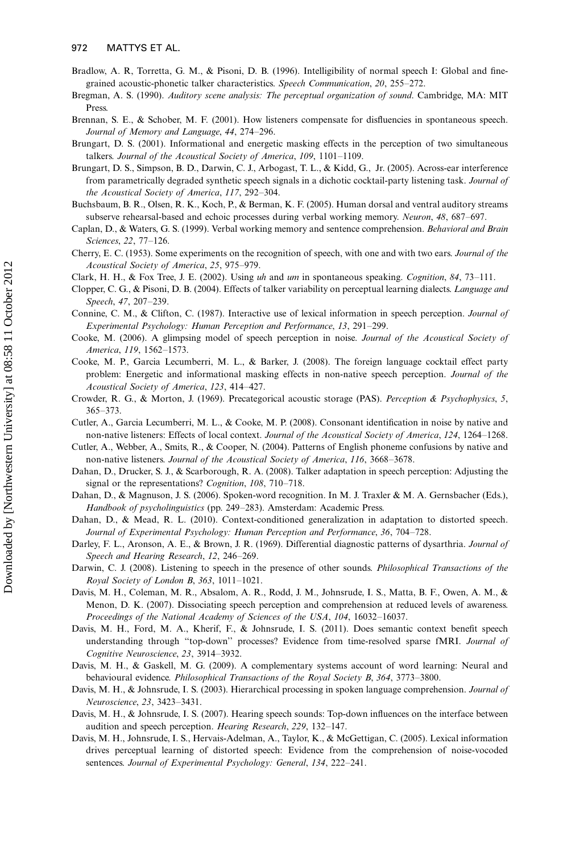- Bradlow, A. R, Torretta, G. M., & Pisoni, D. B. (1996). Intelligibility of normal speech I: Global and finegrained acoustic-phonetic talker characteristics. Speech Communication, 20, 255-272.
- Bregman, A. S. (1990). Auditory scene analysis: The perceptual organization of sound. Cambridge, MA: MIT Press.
- Brennan, S. E., & Schober, M. F. (2001). How listeners compensate for disfluencies in spontaneous speech. Journal of Memory and Language, 44, 274-296.
- Brungart, D. S. (2001). Informational and energetic masking effects in the perception of two simultaneous talkers. Journal of the Acoustical Society of America,  $109$ ,  $1101-1109$ .
- Brungart, D. S., Simpson, B. D., Darwin, C. J., Arbogast, T. L., & Kidd, G., Jr. (2005). Across-ear interference from parametrically degraded synthetic speech signals in a dichotic cocktail-party listening task. Journal of the Acoustical Society of America, 117, 292-304.
- Buchsbaum, B. R., Olsen, R. K., Koch, P., & Berman, K. F. (2005). Human dorsal and ventral auditory streams subserve rehearsal-based and echoic processes during verbal working memory. Neuron, 48, 687-697.
- Caplan, D., & Waters, G. S. (1999). Verbal working memory and sentence comprehension. Behavioral and Brain Sciences, 22, 77-126.
- Cherry, E. C. (1953). Some experiments on the recognition of speech, with one and with two ears. Journal of the Acoustical Society of America, 25, 975-979.
- Clark, H. H., & Fox Tree, J. E. (2002). Using uh and um in spontaneous speaking. Cognition, 84, 73-111.
- Clopper, C. G., & Pisoni, D. B. (2004). Effects of talker variability on perceptual learning dialects. Language and Speech, 47, 207-239.
- Connine, C. M., & Clifton, C. (1987). Interactive use of lexical information in speech perception. Journal of Experimental Psychology: Human Perception and Performance, 13, 291-299.
- Cooke, M. (2006). A glimpsing model of speech perception in noise. Journal of the Acoustical Society of America, 119, 1562-1573.
- Cooke, M. P., Garcia Lecumberri, M. L., & Barker, J. (2008). The foreign language cocktail effect party problem: Energetic and informational masking effects in non-native speech perception. Journal of the Acoustical Society of America, 123, 414-427.
- Crowder, R. G., & Morton, J. (1969). Precategorical acoustic storage (PAS). Perception & Psychophysics, 5, 365-373
- Cutler, A., Garcia Lecumberri, M. L., & Cooke, M. P. (2008). Consonant identification in noise by native and non-native listeners: Effects of local context. Journal of the Acoustical Society of America, 124, 1264-1268.
- Cutler, A., Webber, A., Smits, R., & Cooper, N. (2004). Patterns of English phoneme confusions by native and non-native listeners. Journal of the Acoustical Society of America, 116, 3668–3678.
- Dahan, D., Drucker, S. J., & Scarborough, R. A. (2008). Talker adaptation in speech perception: Adjusting the signal or the representations? Cognition, 108, 710-718.
- Dahan, D., & Magnuson, J. S. (2006). Spoken-word recognition. In M. J. Traxler & M. A. Gernsbacher (Eds.), Handbook of psycholinguistics (pp. 249-283). Amsterdam: Academic Press.
- Dahan, D., & Mead, R. L. (2010). Context-conditioned generalization in adaptation to distorted speech. Journal of Experimental Psychology: Human Perception and Performance, 36, 704–728.
- Darley, F. L., Aronson, A. E., & Brown, J. R. (1969). Differential diagnostic patterns of dysarthria. Journal of Speech and Hearing Research, 12, 246-269.
- Darwin, C. J. (2008). Listening to speech in the presence of other sounds. *Philosophical Transactions of the* Royal Society of London B, 363,  $1011-1021$ .
- Davis, M. H., Coleman, M. R., Absalom, A. R., Rodd, J. M., Johnsrude, I. S., Matta, B. F., Owen, A. M., & Menon, D. K. (2007). Dissociating speech perception and comprehension at reduced levels of awareness. Proceedings of the National Academy of Sciences of the USA, 104, 16032-16037.
- Davis, M. H., Ford, M. A., Kherif, F., & Johnsrude, I. S. (2011). Does semantic context benefit speech understanding through "top-down" processes? Evidence from time-resolved sparse fMRI. Journal of Cognitive Neuroscience, 23, 3914-3932.
- Davis, M. H., & Gaskell, M. G. (2009). A complementary systems account of word learning: Neural and behavioural evidence. Philosophical Transactions of the Royal Society B,  $364$ ,  $3773-3800$ .
- Davis, M. H., & Johnsrude, I. S. (2003). Hierarchical processing in spoken language comprehension. *Journal of* Neuroscience, 23, 3423-3431.
- Davis, M. H., & Johnsrude, I. S. (2007). Hearing speech sounds: Top-down influences on the interface between audition and speech perception. Hearing Research, 229, 132-147.
- Davis, M. H., Johnsrude, I. S., Hervais-Adelman, A., Taylor, K., & McGettigan, C. (2005). Lexical information drives perceptual learning of distorted speech: Evidence from the comprehension of noise-vocoded sentences. Journal of Experimental Psychology: General, 134, 222-241.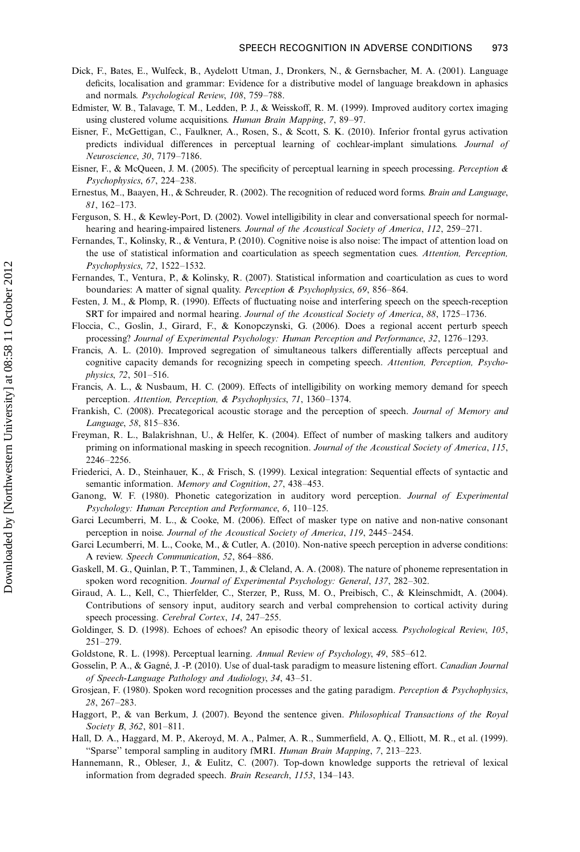- Dick, F., Bates, E., Wulfeck, B., Aydelott Utman, J., Dronkers, N., & Gernsbacher, M. A. (2001). Language deficits, localisation and grammar: Evidence for a distributive model of language breakdown in aphasics and normals. Psychological Review, 108, 759-788.
- Edmister, W. B., Talavage, T. M., Ledden, P. J., & Weisskoff, R. M. (1999). Improved auditory cortex imaging using clustered volume acquisitions. Human Brain Mapping, 7, 89-97.
- Eisner, F., McGettigan, C., Faulkner, A., Rosen, S., & Scott, S. K. (2010). Inferior frontal gyrus activation predicts individual differences in perceptual learning of cochlear-implant simulations. Journal of Neuroscience, 30, 7179-7186.
- Eisner, F., & McQueen, J. M. (2005). The specificity of perceptual learning in speech processing. Perception &  $Psychophysics, 67, 224–238.$
- Ernestus, M., Baayen, H., & Schreuder, R. (2002). The recognition of reduced word forms. Brain and Language,  $81, 162 - 173$
- Ferguson, S. H., & Kewley-Port, D. (2002). Vowel intelligibility in clear and conversational speech for normalhearing and hearing-impaired listeners. Journal of the Acoustical Society of America, 112, 259–271.
- Fernandes, T., Kolinsky, R., & Ventura, P. (2010). Cognitive noise is also noise: The impact of attention load on the use of statistical information and coarticulation as speech segmentation cues. Attention, Perception, Psychophysics, 72, 1522-1532.
- Fernandes, T., Ventura, P., & Kolinsky, R. (2007). Statistical information and coarticulation as cues to word boundaries: A matter of signal quality. Perception & Psychophysics, 69, 856-864.
- Festen, J. M., & Plomp, R. (1990). Effects of fluctuating noise and interfering speech on the speech-reception SRT for impaired and normal hearing. Journal of the Acoustical Society of America, 88, 1725–1736.
- Floccia, C., Goslin, J., Girard, F., & Konopczynski, G. (2006). Does a regional accent perturb speech processing? Journal of Experimental Psychology: Human Perception and Performance, 32, 1276–1293.
- Francis, A. L. (2010). Improved segregation of simultaneous talkers differentially affects perceptual and cognitive capacity demands for recognizing speech in competing speech. Attention, Perception, Psycho $physics, 72, 501-516.$
- Francis, A. L., & Nusbaum, H. C. (2009). Effects of intelligibility on working memory demand for speech perception. Attention, Perception, & Psychophysics, 71, 1360-1374.
- Frankish, C. (2008). Precategorical acoustic storage and the perception of speech. Journal of Memory and Language, 58, 815-836.
- Freyman, R. L., Balakrishnan, U., & Helfer, K. (2004). Effect of number of masking talkers and auditory priming on informational masking in speech recognition. Journal of the Acoustical Society of America, 115, 2246-2256.
- Friederici, A. D., Steinhauer, K., & Frisch, S. (1999). Lexical integration: Sequential effects of syntactic and semantic information. Memory and Cognition, 27, 438-453.
- Ganong, W. F. (1980). Phonetic categorization in auditory word perception. Journal of Experimental Psychology: Human Perception and Performance, 6, 110-125.
- Garci Lecumberri, M. L., & Cooke, M. (2006). Effect of masker type on native and non-native consonant perception in noise. Journal of the Acoustical Society of America, 119, 2445-2454.
- Garci Lecumberri, M. L., Cooke, M., & Cutler, A. (2010). Non-native speech perception in adverse conditions: A review. Speech Communication, 52, 864-886.
- Gaskell, M. G., Quinlan, P. T., Tamminen, J., & Cleland, A. A. (2008). The nature of phoneme representation in spoken word recognition. Journal of Experimental Psychology: General, 137, 282-302.
- Giraud, A. L., Kell, C., Thierfelder, C., Sterzer, P., Russ, M. O., Preibisch, C., & Kleinschmidt, A. (2004). Contributions of sensory input, auditory search and verbal comprehension to cortical activity during speech processing. Cerebral Cortex, 14, 247-255.
- Goldinger, S. D. (1998). Echoes of echoes? An episodic theory of lexical access. *Psychological Review*, 105, 251-279.
- Goldstone, R. L. (1998). Perceptual learning. Annual Review of Psychology, 49, 585–612.
- Gosselin, P. A., & Gagné, J. -P. (2010). Use of dual-task paradigm to measure listening effort. Canadian Journal of Speech-Language Pathology and Audiology, 34, 43-51.
- Grosjean, F. (1980). Spoken word recognition processes and the gating paradigm. Perception & Psychophysics, 28, 267-283.
- Haggort, P., & van Berkum, J. (2007). Beyond the sentence given. Philosophical Transactions of the Royal Society B, 362, 801-811.
- Hall, D. A., Haggard, M. P., Akeroyd, M. A., Palmer, A. R., Summerfield, A. Q., Elliott, M. R., et al. (1999). "Sparse" temporal sampling in auditory fMRI. Human Brain Mapping, 7, 213–223.
- Hannemann, R., Obleser, J., & Eulitz, C. (2007). Top-down knowledge supports the retrieval of lexical information from degraded speech. Brain Research, 1153, 134-143.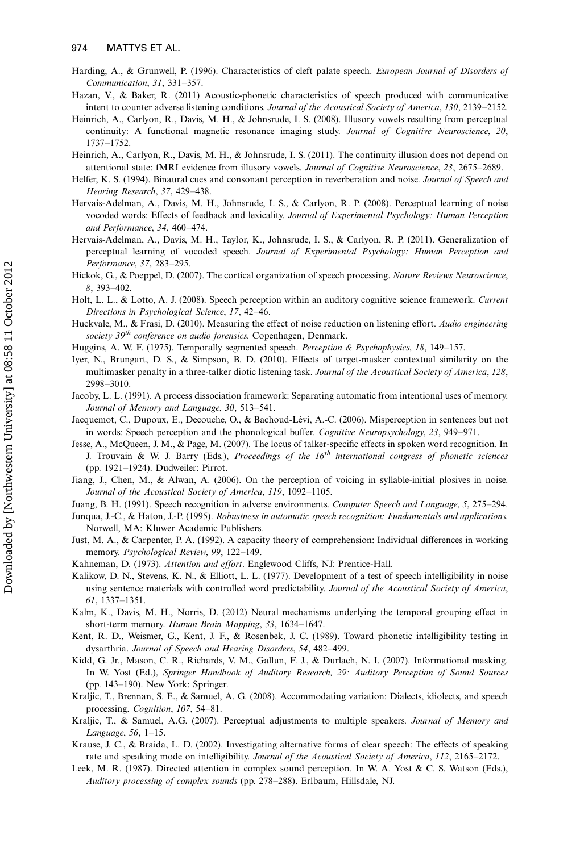- Harding, A., & Grunwell, P. (1996). Characteristics of cleft palate speech. European Journal of Disorders of Communication,  $31, 331-357$ .
- Hazan, V., & Baker, R. (2011) Acoustic-phonetic characteristics of speech produced with communicative intent to counter adverse listening conditions. Journal of the Acoustical Society of America, 130, 2139–2152.
- Heinrich, A., Carlyon, R., Davis, M. H., & Johnsrude, I. S. (2008). Illusory vowels resulting from perceptual continuity: A functional magnetic resonance imaging study. Journal of Cognitive Neuroscience, 20, 1737-1752.
- Heinrich, A., Carlyon, R., Davis, M. H., & Johnsrude, I. S. (2011). The continuity illusion does not depend on attentional state: fMRI evidence from illusory vowels. Journal of Cognitive Neuroscience, 23, 2675-2689.
- Helfer, K. S. (1994). Binaural cues and consonant perception in reverberation and noise. Journal of Speech and Hearing Research, 37, 429-438.
- Hervais-Adelman, A., Davis, M. H., Johnsrude, I. S., & Carlyon, R. P. (2008). Perceptual learning of noise vocoded words: Effects of feedback and lexicality. Journal of Experimental Psychology: Human Perception and Performance, 34, 460-474.
- Hervais-Adelman, A., Davis, M. H., Taylor, K., Johnsrude, I. S., & Carlyon, R. P. (2011). Generalization of perceptual learning of vocoded speech. Journal of Experimental Psychology: Human Perception and Performance, 37, 283-295.
- Hickok, G., & Poeppel, D. (2007). The cortical organization of speech processing. Nature Reviews Neuroscience, 8, 393-402.
- Holt, L. L., & Lotto, A. J. (2008). Speech perception within an auditory cognitive science framework. Current Directions in Psychological Science, 17, 42-46.
- Huckvale, M., & Frasi, D. (2010). Measuring the effect of noise reduction on listening effort. Audio engineering society  $39<sup>th</sup>$  conference on audio forensics. Copenhagen, Denmark.
- Huggins, A. W. F. (1975). Temporally segmented speech. Perception & Psychophysics, 18, 149–157.
- Iyer, N., Brungart, D. S., & Simpson, B. D. (2010). Effects of target-masker contextual similarity on the multimasker penalty in a three-talker diotic listening task. Journal of the Acoustical Society of America, 128, 2998-3010.
- Jacoby, L. L. (1991). A process dissociation framework: Separating automatic from intentional uses of memory. Journal of Memory and Language, 30, 513-541.
- Jacquemot, C., Dupoux, E., Decouche, O., & Bachoud-Lévi, A.-C. (2006). Misperception in sentences but not in words: Speech perception and the phonological buffer. Cognitive Neuropsychology, 23, 949-971.
- Jesse, A., McQueen, J. M., & Page, M. (2007). The locus of talker-specific effects in spoken word recognition. In J. Trouvain & W. J. Barry (Eds.), Proceedings of the  $16<sup>th</sup>$  international congress of phonetic sciences (pp. 1921-1924). Dudweiler: Pirrot.
- Jiang, J., Chen, M., & Alwan, A. (2006). On the perception of voicing in syllable-initial plosives in noise. Journal of the Acoustical Society of America, 119, 1092-1105.
- Juang, B. H. (1991). Speech recognition in adverse environments. Computer Speech and Language, 5, 275–294.
- Junqua, J.-C., & Haton, J.-P. (1995). Robustness in automatic speech recognition: Fundamentals and applications. Norwell, MA: Kluwer Academic Publishers.
- Just, M. A., & Carpenter, P. A. (1992). A capacity theory of comprehension: Individual differences in working memory. Psychological Review, 99, 122-149.
- Kahneman, D. (1973). Attention and effort. Englewood Cliffs, NJ: Prentice-Hall.
- Kalikow, D. N., Stevens, K. N., & Elliott, L. L. (1977). Development of a test of speech intelligibility in noise using sentence materials with controlled word predictability. Journal of the Acoustical Society of America,  $61, 1337-1351.$
- Kalm, K., Davis, M. H., Norris, D. (2012) Neural mechanisms underlying the temporal grouping effect in short-term memory. Human Brain Mapping, 33, 1634-1647.
- Kent, R. D., Weismer, G., Kent, J. F., & Rosenbek, J. C. (1989). Toward phonetic intelligibility testing in dysarthria. Journal of Speech and Hearing Disorders, 54, 482-499.
- Kidd, G. Jr., Mason, C. R., Richards, V. M., Gallun, F. J., & Durlach, N. I. (2007). Informational masking. In W. Yost (Ed.), Springer Handbook of Auditory Research, 29: Auditory Perception of Sound Sources (pp. 143–190). New York: Springer.
- Kraljic, T., Brennan, S. E., & Samuel, A. G. (2008). Accommodating variation: Dialects, idiolects, and speech processing. Cognition, 107, 54-81.
- Kraljic, T., & Samuel, A.G. (2007). Perceptual adjustments to multiple speakers. Journal of Memory and Language,  $56$ ,  $1-15$ .
- Krause, J. C., & Braida, L. D. (2002). Investigating alternative forms of clear speech: The effects of speaking rate and speaking mode on intelligibility. Journal of the Acoustical Society of America, 112, 2165–2172.
- Leek, M. R. (1987). Directed attention in complex sound perception. In W. A. Yost & C. S. Watson (Eds.), Auditory processing of complex sounds (pp. 278-288). Erlbaum, Hillsdale, NJ.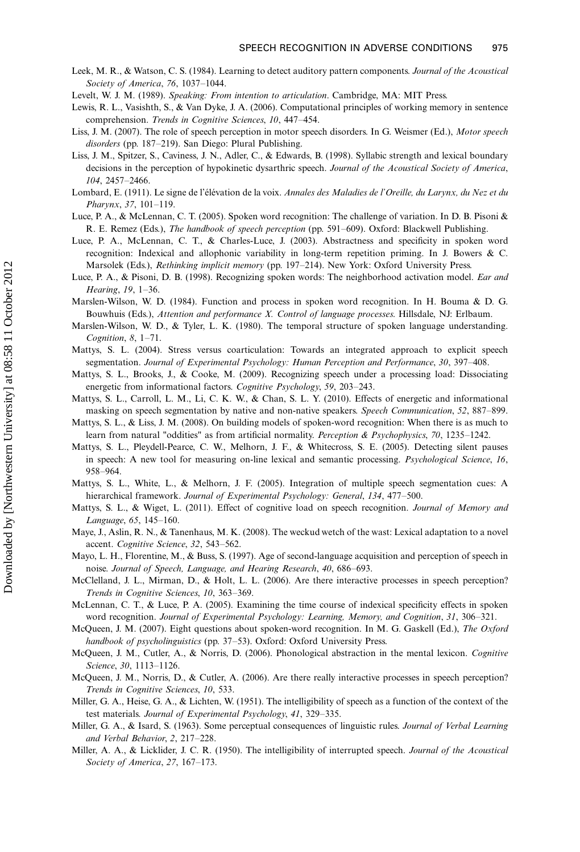- Leek, M. R., & Watson, C. S. (1984). Learning to detect auditory pattern components. Journal of the Acoustical Society of America,  $76, 1037-1044$ .
- Levelt, W. J. M. (1989). Speaking: From intention to articulation. Cambridge, MA: MIT Press.
- Lewis, R. L., Vasishth, S., & Van Dyke, J. A. (2006). Computational principles of working memory in sentence comprehension. Trends in Cognitive Sciences, 10, 447-454.
- Liss, J. M. (2007). The role of speech perception in motor speech disorders. In G. Weismer (Ed.), Motor speech disorders (pp. 187-219). San Diego: Plural Publishing.
- Liss, J. M., Spitzer, S., Caviness, J. N., Adler, C., & Edwards, B. (1998). Syllabic strength and lexical boundary decisions in the perception of hypokinetic dysarthric speech. Journal of the Acoustical Society of America, 104, 2457-2466.
- Lombard, E. (1911). Le signe de l'élévation de la voix. Annales des Maladies de l'Oreille, du Larynx, du Nez et du Pharynx, 37,  $101 - 119$ .
- Luce, P. A., & McLennan, C. T. (2005). Spoken word recognition: The challenge of variation. In D. B. Pisoni & R. E. Remez (Eds.), The handbook of speech perception (pp. 591-609). Oxford: Blackwell Publishing.
- Luce, P. A., McLennan, C. T., & Charles-Luce, J. (2003). Abstractness and specificity in spoken word recognition: Indexical and allophonic variability in long-term repetition priming. In J. Bowers & C. Marsolek (Eds.), Rethinking implicit memory (pp. 197-214). New York: Oxford University Press.
- Luce, P. A., & Pisoni, D. B. (1998). Recognizing spoken words: The neighborhood activation model. *Ear and* Hearing, 19, 1-36.
- Marslen-Wilson, W. D. (1984). Function and process in spoken word recognition. In H. Bouma & D. G. Bouwhuis (Eds.), Attention and performance X. Control of language processes. Hillsdale, NJ: Erlbaum.
- Marslen-Wilson, W. D., & Tyler, L. K. (1980). The temporal structure of spoken language understanding. Cognition,  $8.1 - 71$ .
- Mattys, S. L. (2004). Stress versus coarticulation: Towards an integrated approach to explicit speech segmentation. Journal of Experimental Psychology: Human Perception and Performance, 30, 397-408.
- Mattys, S. L., Brooks, J., & Cooke, M. (2009). Recognizing speech under a processing load: Dissociating energetic from informational factors. Cognitive Psychology, 59, 203-243.
- Mattys, S. L., Carroll, L. M., Li, C. K. W., & Chan, S. L. Y. (2010). Effects of energetic and informational masking on speech segmentation by native and non-native speakers. Speech Communication, 52, 887–899.
- Mattys, S. L., & Liss, J. M. (2008). On building models of spoken-word recognition: When there is as much to learn from natural "oddities" as from artificial normality. Perception & Psychophysics, 70, 1235–1242.
- Mattys, S. L., Pleydell-Pearce, C. W., Melhorn, J. F., & Whitecross, S. E. (2005). Detecting silent pauses in speech: A new tool for measuring on-line lexical and semantic processing. Psychological Science, 16, 958-964.
- Mattys, S. L., White, L., & Melhorn, J. F. (2005). Integration of multiple speech segmentation cues: A hierarchical framework. Journal of Experimental Psychology: General, 134, 477-500.
- Mattys, S. L., & Wiget, L. (2011). Effect of cognitive load on speech recognition. Journal of Memory and Language, 65, 145-160.
- Maye, J., Aslin, R. N., & Tanenhaus, M. K. (2008). The weckud wetch of the wast: Lexical adaptation to a novel accent. Cognitive Science, 32, 543-562
- Mayo, L. H., Florentine, M., & Buss, S. (1997). Age of second-language acquisition and perception of speech in noise. Journal of Speech, Language, and Hearing Research, 40, 686–693.
- McClelland, J. L., Mirman, D., & Holt, L. L. (2006). Are there interactive processes in speech perception? Trends in Cognitive Sciences, 10, 363-369.
- McLennan, C. T., & Luce, P. A. (2005). Examining the time course of indexical specificity effects in spoken word recognition. Journal of Experimental Psychology: Learning, Memory, and Cognition, 31, 306-321.
- McQueen, J. M. (2007). Eight questions about spoken-word recognition. In M. G. Gaskell (Ed.), The Oxford handbook of psycholinguistics (pp. 37-53). Oxford: Oxford University Press.
- McQueen, J. M., Cutler, A., & Norris, D. (2006). Phonological abstraction in the mental lexicon. Cognitive Science, 30, 1113-1126.
- McQueen, J. M., Norris, D., & Cutler, A. (2006). Are there really interactive processes in speech perception? Trends in Cognitive Sciences, 10, 533.
- Miller, G. A., Heise, G. A., & Lichten, W. (1951). The intelligibility of speech as a function of the context of the test materials. Journal of Experimental Psychology, 41, 329-335.
- Miller, G. A., & Isard, S. (1963). Some perceptual consequences of linguistic rules. Journal of Verbal Learning and Verbal Behavior, 2, 217-228.
- Miller, A. A., & Licklider, J. C. R. (1950). The intelligibility of interrupted speech. Journal of the Acoustical Society of America, 27, 167-173.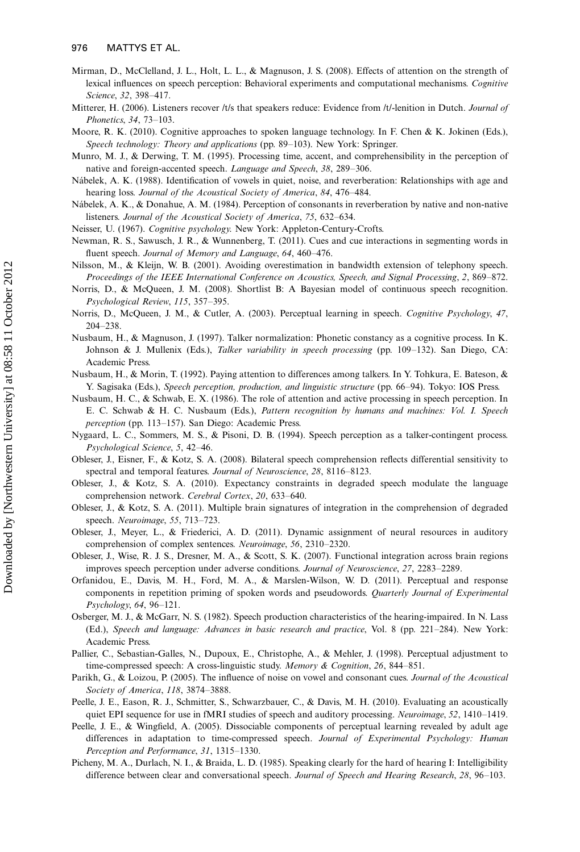- Mirman, D., McClelland, J. L., Holt, L. L., & Magnuson, J. S. (2008). Effects of attention on the strength of lexical influences on speech perception: Behavioral experiments and computational mechanisms. Cognitive Science, 32, 398-417.
- Mitterer, H. (2006). Listeners recover /t/s that speakers reduce: Evidence from /t/-lenition in Dutch. Journal of Phonetics, 34, 73-103.
- Moore, R. K. (2010). Cognitive approaches to spoken language technology. In F. Chen & K. Jokinen (Eds.), Speech technology: Theory and applications (pp. 89–103). New York: Springer.
- Munro, M. J., & Derwing, T. M. (1995). Processing time, accent, and comprehensibility in the perception of native and foreign-accented speech. Language and Speech, 38, 289-306.
- Nábelek, A. K. (1988). Identification of vowels in quiet, noise, and reverberation: Relationships with age and hearing loss. Journal of the Acoustical Society of America, 84, 476-484.
- Nábelek, A. K., & Donahue, A. M. (1984). Perception of consonants in reverberation by native and non-native listeners. Journal of the Acoustical Society of America, 75, 632-634.
- Neisser, U. (1967). Cognitive psychology. New York: Appleton-Century-Crofts.
- Newman, R. S., Sawusch, J. R., & Wunnenberg, T. (2011). Cues and cue interactions in segmenting words in fluent speech. Journal of Memory and Language, 64, 460-476.
- Nilsson, M., & Kleijn, W. B. (2001). Avoiding overestimation in bandwidth extension of telephony speech. Proceedings of the IEEE International Conference on Acoustics, Speech, and Signal Processing, 2, 869-872.
- Norris, D., & McQueen, J. M. (2008). Shortlist B: A Bayesian model of continuous speech recognition. Psychological Review, 115, 357-395.
- Norris, D., McQueen, J. M., & Cutler, A. (2003). Perceptual learning in speech. Cognitive Psychology, 47, 204-238.
- Nusbaum, H., & Magnuson, J. (1997). Talker normalization: Phonetic constancy as a cognitive process. In K. Johnson & J. Mullenix (Eds.), Talker variability in speech processing (pp. 109-132). San Diego, CA: Academic Press.
- Nusbaum, H., & Morin, T. (1992). Paying attention to differences among talkers. In Y. Tohkura, E. Bateson, & Y. Sagisaka (Eds.), Speech perception, production, and linguistic structure (pp. 66-94). Tokyo: IOS Press.
- Nusbaum, H. C., & Schwab, E. X. (1986). The role of attention and active processing in speech perception. In E. C. Schwab & H. C. Nusbaum (Eds.), Pattern recognition by humans and machines: Vol. I. Speech perception (pp. 113–157). San Diego: Academic Press.
- Nygaard, L. C., Sommers, M. S., & Pisoni, D. B. (1994). Speech perception as a talker-contingent process. Psychological Science, 5, 42-46.
- Obleser, J., Eisner, F., & Kotz, S. A. (2008). Bilateral speech comprehension reflects differential sensitivity to spectral and temporal features. Journal of Neuroscience, 28, 8116-8123.
- Obleser, J., & Kotz, S. A. (2010). Expectancy constraints in degraded speech modulate the language comprehension network. Cerebral Cortex, 20, 633-640.
- Obleser, J., & Kotz, S. A. (2011). Multiple brain signatures of integration in the comprehension of degraded speech. Neuroimage, 55, 713-723.
- Obleser, J., Meyer, L., & Friederici, A. D. (2011). Dynamic assignment of neural resources in auditory comprehension of complex sentences. Neuroimage, 56, 2310-2320.
- Obleser, J., Wise, R. J. S., Dresner, M. A., & Scott, S. K. (2007). Functional integration across brain regions improves speech perception under adverse conditions. Journal of Neuroscience, 27, 2283–2289.
- Orfanidou, E., Davis, M. H., Ford, M. A., & Marslen-Wilson, W. D. (2011). Perceptual and response components in repetition priming of spoken words and pseudowords. Quarterly Journal of Experimental  $Psychology, 64, 96–121.$
- Osberger, M. J., & McGarr, N. S. (1982). Speech production characteristics of the hearing-impaired. In N. Lass (Ed.), Speech and language: Advances in basic research and practice, Vol. 8 (pp. 221-284). New York: Academic Press.
- Pallier, C., Sebastian-Galles, N., Dupoux, E., Christophe, A., & Mehler, J. (1998). Perceptual adjustment to time-compressed speech: A cross-linguistic study. Memory & Cognition, 26, 844–851.
- Parikh, G., & Loizou, P. (2005). The influence of noise on vowel and consonant cues. Journal of the Acoustical Society of America, 118, 3874-3888.
- Peelle, J. E., Eason, R. J., Schmitter, S., Schwarzbauer, C., & Davis, M. H. (2010). Evaluating an acoustically quiet EPI sequence for use in fMRI studies of speech and auditory processing. Neuroimage, 52, 1410–1419.
- Peelle, J. E., & Wingfield, A. (2005). Dissociable components of perceptual learning revealed by adult age differences in adaptation to time-compressed speech. Journal of Experimental Psychology: Human Perception and Performance, 31, 1315-1330.
- Picheny, M. A., Durlach, N. I., & Braida, L. D. (1985). Speaking clearly for the hard of hearing I: Intelligibility difference between clear and conversational speech. Journal of Speech and Hearing Research, 28, 96–103.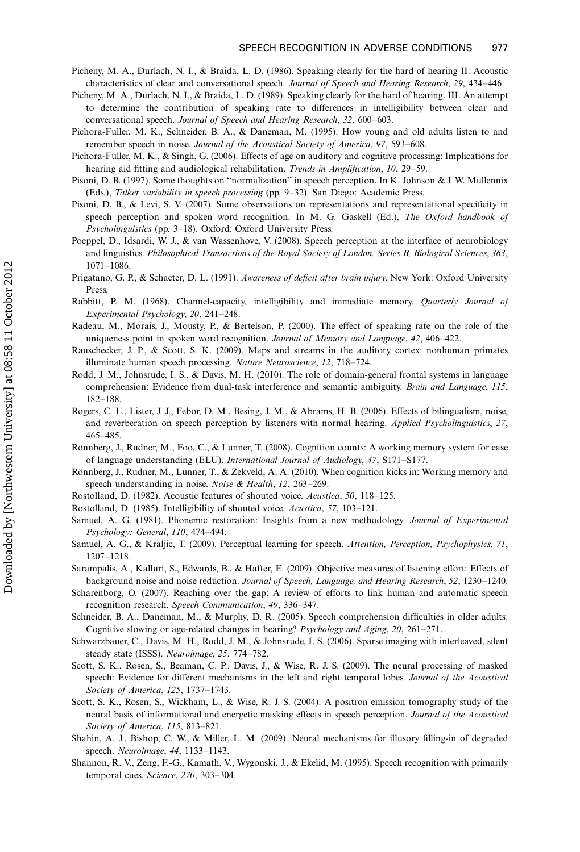- Picheny, M. A., Durlach, N. I., & Braida, L. D. (1986). Speaking clearly for the hard of hearing II: Acoustic characteristics of clear and conversational speech. Journal of Speech and Hearing Research, 29, 434–446.
- Picheny, M. A., Durlach, N. I., & Braida, L. D. (1989). Speaking clearly for the hard of hearing. III. An attempt to determine the contribution of speaking rate to differences in intelligibility between clear and conversational speech. Journal of Speech and Hearing Research, 32, 600–603.
- Pichora-Fuller, M. K., Schneider, B. A., & Daneman, M. (1995). How young and old adults listen to and remember speech in noise. Journal of the Acoustical Society of America, 97, 593–608.
- Pichora-Fuller, M. K., & Singh, G. (2006). Effects of age on auditory and cognitive processing: Implications for hearing aid fitting and audiological rehabilitation. Trends in Amplification, 10, 29–59.
- Pisoni, D. B. (1997). Some thoughts on "normalization" in speech perception. In K. Johnson & J. W. Mullennix (Eds.), Talker variability in speech processing (pp. 9-32). San Diego: Academic Press.
- Pisoni, D. B., & Levi, S. V. (2007). Some observations on representations and representational specificity in speech perception and spoken word recognition. In M. G. Gaskell (Ed.), The Oxford handbook of Psycholinguistics (pp. 3-18). Oxford: Oxford University Press.
- Poeppel, D., Idsardi, W. J., & van Wassenhove, V. (2008). Speech perception at the interface of neurobiology and linguistics. Philosophical Transactions of the Royal Society of London. Series B, Biological Sciences, 363,  $1071 - 1086$
- Prigatano, G. P., & Schacter, D. L. (1991). Awareness of deficit after brain injury. New York: Oxford University Press.
- Rabbitt, P. M. (1968). Channel-capacity, intelligibility and immediate memory. Quarterly Journal of Experimental Psychology, 20, 241-248.
- Radeau, M., Morais, J., Mousty, P., & Bertelson, P. (2000). The effect of speaking rate on the role of the uniqueness point in spoken word recognition. Journal of Memory and Language, 42, 406-422.
- Rauschecker, J. P., & Scott, S. K. (2009). Maps and streams in the auditory cortex: nonhuman primates illuminate human speech processing. Nature Neuroscience, 12, 718-724.
- Rodd, J. M., Johnsrude, I. S., & Davis, M. H. (2010). The role of domain-general frontal systems in language comprehension: Evidence from dual-task interference and semantic ambiguity. Brain and Language, 115, 182-188
- Rogers, C. L., Lister, J. J., Febor, D. M., Besing, J. M., & Abrams, H. B. (2006). Effects of bilingualism, noise, and reverberation on speech perception by listeners with normal hearing. Applied Psycholinguistics, 27, 465485.
- Rönnberg, J., Rudner, M., Foo, C., & Lunner, T. (2008). Cognition counts: A working memory system for ease of language understanding (ELU). *International Journal of Audiology, 47*, S171–S177.
- Rönnberg, J., Rudner, M., Lunner, T., & Zekveld, A. A. (2010). When cognition kicks in: Working memory and speech understanding in noise. Noise & Health, 12, 263-269.
- Rostolland, D. (1982). Acoustic features of shouted voice. Acustica, 50, 118–125.
- Rostolland, D. (1985). Intelligibility of shouted voice. Acustica, 57, 103-121.
- Samuel, A. G. (1981). Phonemic restoration: Insights from a new methodology. Journal of Experimental Psychology: General, 110, 474-494.
- Samuel, A. G., & Kraljic, T. (2009). Perceptual learning for speech. Attention, Perception, Psychophysics, 71, 1207-1218
- Sarampalis, A., Kalluri, S., Edwards, B., & Hafter, E. (2009). Objective measures of listening effort: Effects of background noise and noise reduction. Journal of Speech, Language, and Hearing Research, 52, 1230–1240.
- Scharenborg, O. (2007). Reaching over the gap: A review of efforts to link human and automatic speech recognition research. Speech Communication, 49, 336-347.
- Schneider, B. A., Daneman, M., & Murphy, D. R. (2005). Speech comprehension difficulties in older adults: Cognitive slowing or age-related changes in hearing? Psychology and Aging,  $20$ ,  $261-271$ .
- Schwarzbauer, C., Davis, M. H., Rodd, J. M., & Johnsrude, I. S. (2006). Sparse imaging with interleaved, silent steady state (ISSS). Neuroimage, 25, 774-782.
- Scott, S. K., Rosen, S., Beaman, C. P., Davis, J., & Wise, R. J. S. (2009). The neural processing of masked speech: Evidence for different mechanisms in the left and right temporal lobes. Journal of the Acoustical Society of America, 125, 1737-1743.
- Scott, S. K., Rosen, S., Wickham, L., & Wise, R. J. S. (2004). A positron emission tomography study of the neural basis of informational and energetic masking effects in speech perception. Journal of the Acoustical Society of America, 115, 813-821.
- Shahin, A. J., Bishop, C. W., & Miller, L. M. (2009). Neural mechanisms for illusory filling-in of degraded speech. Neuroimage, 44, 1133-1143.
- Shannon, R. V., Zeng, F.-G., Kamath, V., Wygonski, J., & Ekelid, M. (1995). Speech recognition with primarily temporal cues. Science, 270, 303-304.